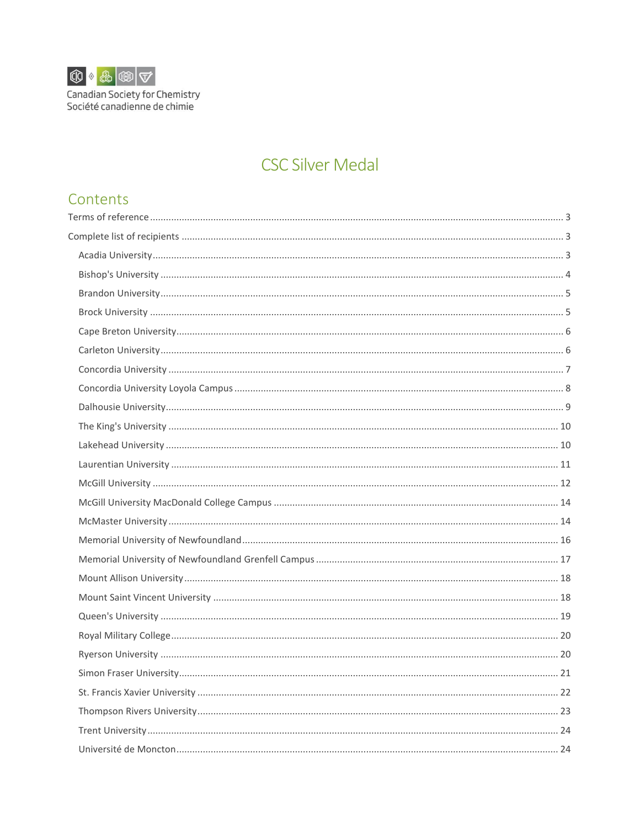

Canadian Society for Chemistry<br>Société canadienne de chimie

# **CSC Silver Medal**

# Contents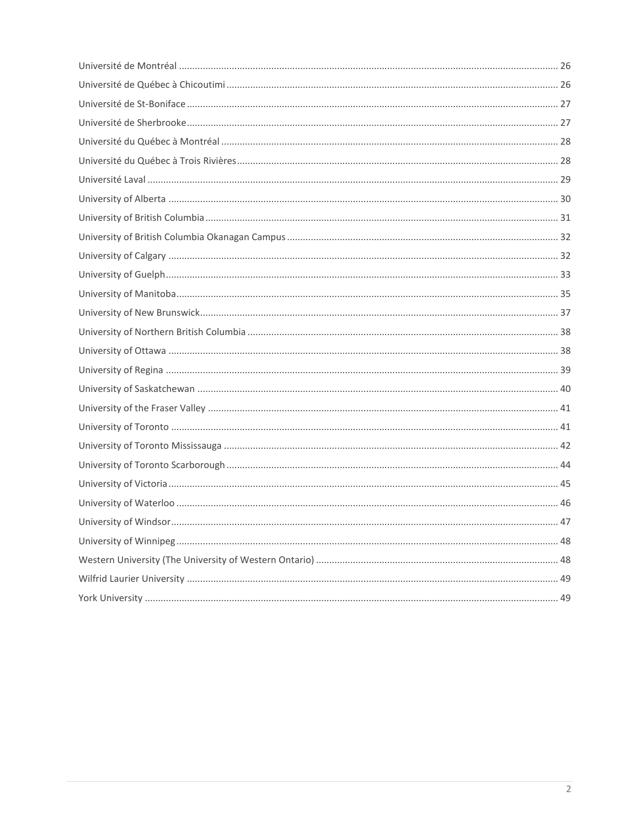| . 47 |
|------|
|      |
|      |
|      |
|      |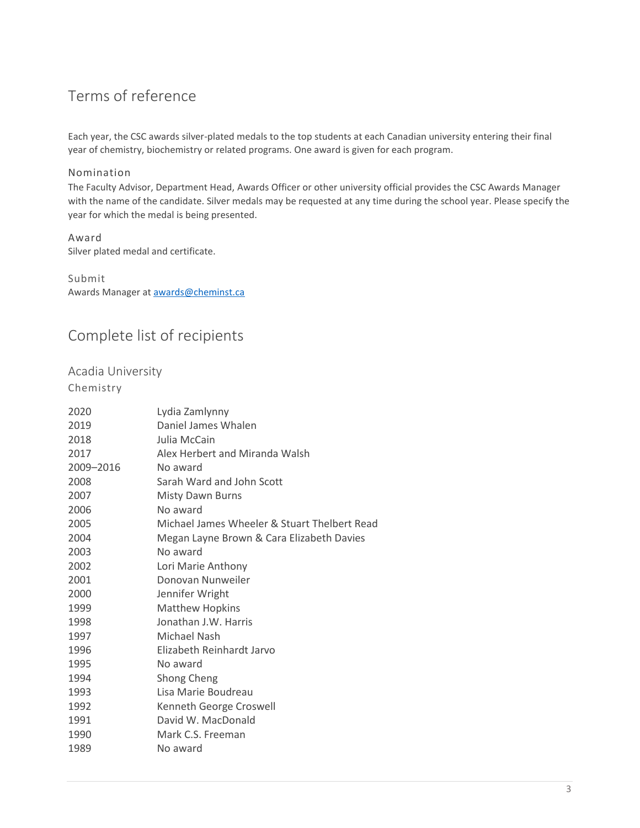# <span id="page-2-0"></span>Terms of reference

Each year, the CSC awards silver-plated medals to the top students at each Canadian university entering their final year of chemistry, biochemistry or related programs. One award is given for each program.

#### Nomination

The Faculty Advisor, Department Head, Awards Officer or other university official provides the CSC Awards Manager with the name of the candidate. Silver medals may be requested at any time during the school year. Please specify the year for which the medal is being presented.

Award Silver plated medal and certificate.

Submit Awards Manager at **awards@cheminst.ca** 

# <span id="page-2-1"></span>Complete list of recipients

<span id="page-2-2"></span>Acadia University

| 2020      | Lydia Zamlynny                               |
|-----------|----------------------------------------------|
| 2019      | Daniel James Whalen                          |
| 2018      | Julia McCain                                 |
| 2017      | Alex Herbert and Miranda Walsh               |
| 2009-2016 | No award                                     |
| 2008      | Sarah Ward and John Scott                    |
| 2007      | Misty Dawn Burns                             |
| 2006      | No award                                     |
| 2005      | Michael James Wheeler & Stuart Thelbert Read |
| 2004      | Megan Layne Brown & Cara Elizabeth Davies    |
| 2003      | No award                                     |
| 2002      | Lori Marie Anthony                           |
| 2001      | Donovan Nunweiler                            |
| 2000      | Jennifer Wright                              |
| 1999      | <b>Matthew Hopkins</b>                       |
| 1998      | Jonathan J.W. Harris                         |
| 1997      | Michael Nash                                 |
| 1996      | Elizabeth Reinhardt Jarvo                    |
| 1995      | No award                                     |
| 1994      | Shong Cheng                                  |
| 1993      | Lisa Marie Boudreau                          |
| 1992      | Kenneth George Croswell                      |
| 1991      | David W. MacDonald                           |
| 1990      | Mark C.S. Freeman                            |
| 1989      | No award                                     |
|           |                                              |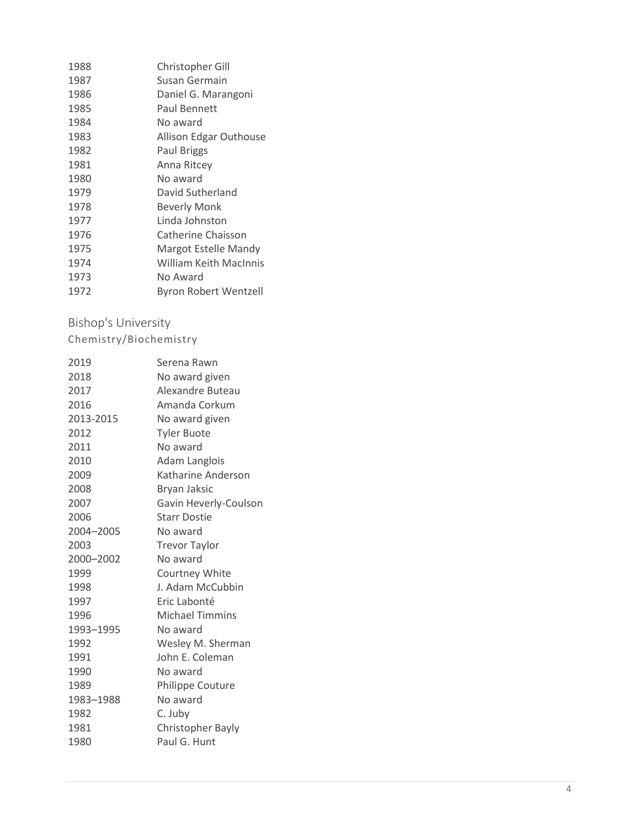| 1988 | Christopher Gill       |
|------|------------------------|
| 1987 | Susan Germain          |
| 1986 | Daniel G. Marangoni    |
| 1985 | Paul Bennett           |
| 1984 | No award               |
| 1983 | Allison Edgar Outhouse |
| 1982 | Paul Briggs            |
| 1981 | Anna Ritcey            |
| 1980 | No award               |
| 1979 | David Sutherland       |
| 1978 | <b>Beverly Monk</b>    |
| 1977 | Linda Johnston         |
| 1976 | Catherine Chaisson     |
| 1975 | Margot Estelle Mandy   |
| 1974 | William Keith MacInnis |
| 1973 | No Award               |
| 1972 | Byron Robert Wentzell  |

# <span id="page-3-0"></span>Bishop's University

#### Chemistry/Biochemistry

| Serena Rawn              |
|--------------------------|
| No award given           |
| Alexandre Buteau         |
| Amanda Corkum            |
| No award given           |
| <b>Tyler Buote</b>       |
| No award                 |
| Adam Langlois            |
| Katharine Anderson       |
| Bryan Jaksic             |
| Gavin Heverly-Coulson    |
| <b>Starr Dostie</b>      |
| No award                 |
| <b>Trevor Taylor</b>     |
| No award                 |
| Courtney White           |
| J. Adam McCubbin         |
| Eric Labonté             |
| Michael Timmins          |
| No award                 |
| Wesley M. Sherman        |
| John E. Coleman          |
| No award                 |
| <b>Philippe Couture</b>  |
| No award                 |
| C. Juby                  |
| <b>Christopher Bayly</b> |
| Paul G. Hunt             |
|                          |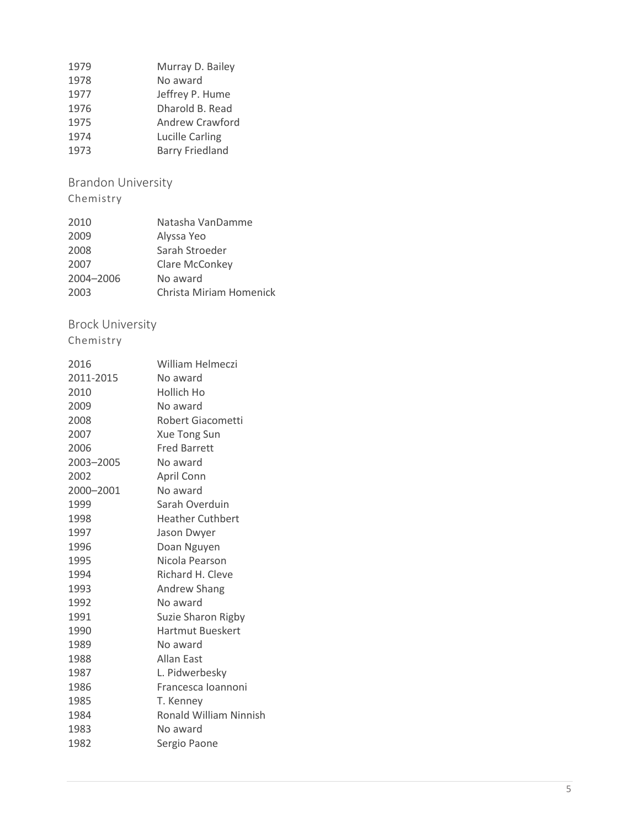| 1979 | Murray D. Bailey       |
|------|------------------------|
| 1978 | No award               |
| 1977 | Jeffrey P. Hume        |
| 1976 | Dharold B. Read        |
| 1975 | Andrew Crawford        |
| 1974 | <b>Lucille Carling</b> |
| 1973 | <b>Barry Friedland</b> |

<span id="page-4-0"></span>Brandon University

Chemistry

| 2010      | Natasha VanDamme        |
|-----------|-------------------------|
| 2009      | Alyssa Yeo              |
| 2008      | Sarah Stroeder          |
| 2007      | Clare McConkey          |
| 2004-2006 | No award                |
| 2003      | Christa Miriam Homenick |

# <span id="page-4-1"></span>Brock University

| 2016      | William Helmeczi        |
|-----------|-------------------------|
| 2011-2015 | No award                |
| 2010      | Hollich Ho              |
| 2009      | No award                |
| 2008      | Robert Giacometti       |
| 2007      | <b>Xue Tong Sun</b>     |
| 2006      | <b>Fred Barrett</b>     |
| 2003-2005 | No award                |
| 2002      | April Conn              |
| 2000–2001 | No award                |
| 1999      | Sarah Overduin          |
| 1998      | <b>Heather Cuthbert</b> |
| 1997      | Jason Dwyer             |
| 1996      | Doan Nguyen             |
| 1995      | Nicola Pearson          |
| 1994      | Richard H. Cleve        |
| 1993      | <b>Andrew Shang</b>     |
| 1992      | No award                |
| 1991      | Suzie Sharon Rigby      |
| 1990      | <b>Hartmut Bueskert</b> |
| 1989      | No award                |
| 1988      | <b>Allan East</b>       |
| 1987      | L. Pidwerbesky          |
| 1986      | Francesca Ioannoni      |
| 1985      | T. Kenney               |
| 1984      | Ronald William Ninnish  |
| 1983      | No award                |
| 1982      | Sergio Paone            |
|           |                         |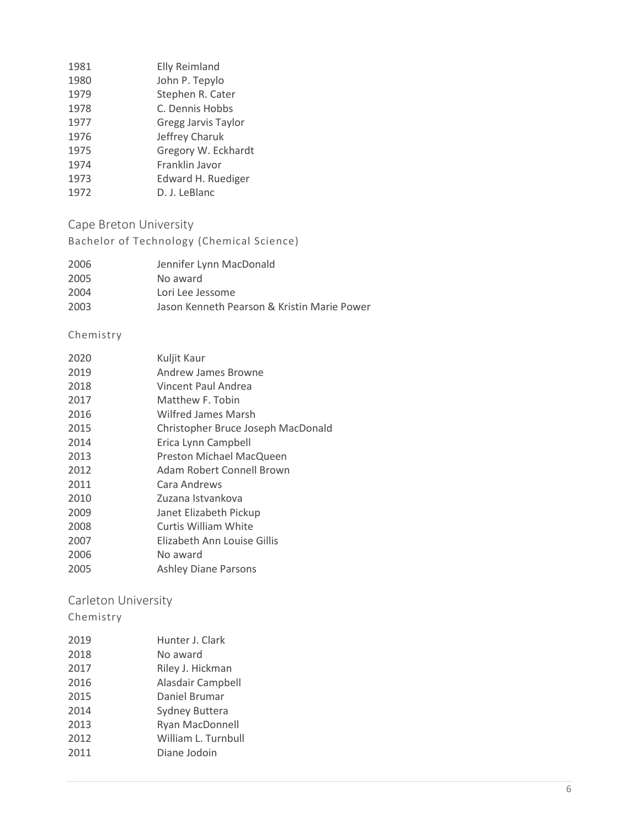| 1981 | <b>Elly Reimland</b>       |
|------|----------------------------|
| 1980 | John P. Tepylo             |
| 1979 | Stephen R. Cater           |
| 1978 | C. Dennis Hobbs            |
| 1977 | <b>Gregg Jarvis Taylor</b> |
| 1976 | Jeffrey Charuk             |
| 1975 | Gregory W. Eckhardt        |
| 1974 | Franklin Javor             |
| 1973 | <b>Edward H. Ruediger</b>  |
| 1972 | D. J. LeBlanc              |

<span id="page-5-0"></span>Cape Breton University

Bachelor of Technology (Chemical Science)

| 2006 | Jennifer Lynn MacDonald                     |
|------|---------------------------------------------|
| 2005 | No award                                    |
| 2004 | Lori Lee Jessome                            |
| 2003 | Jason Kenneth Pearson & Kristin Marie Power |
|      |                                             |

#### Chemistry

| 2020 | Kuljit Kaur                        |
|------|------------------------------------|
| 2019 | Andrew James Browne                |
| 2018 | Vincent Paul Andrea                |
| 2017 | Matthew F. Tobin                   |
| 2016 | Wilfred James Marsh                |
| 2015 | Christopher Bruce Joseph MacDonald |
| 2014 | Erica Lynn Campbell                |
| 2013 | Preston Michael MacQueen           |
| 2012 | Adam Robert Connell Brown          |
| 2011 | Cara Andrews                       |
| 2010 | Zuzana Istvankova                  |
| 2009 | Janet Elizabeth Pickup             |
| 2008 | Curtis William White               |
| 2007 | Elizabeth Ann Louise Gillis        |
| 2006 | No award                           |
| 2005 | <b>Ashley Diane Parsons</b>        |

# <span id="page-5-1"></span>Carleton University

| 2019 | Hunter J. Clark        |
|------|------------------------|
| 2018 | No award               |
| 2017 | Riley J. Hickman       |
| 2016 | Alasdair Campbell      |
| 2015 | Daniel Brumar          |
| 2014 | Sydney Buttera         |
| 2013 | <b>Ryan MacDonnell</b> |
| 2012 | William L. Turnbull    |
| 2011 | Diane Jodoin           |
|      |                        |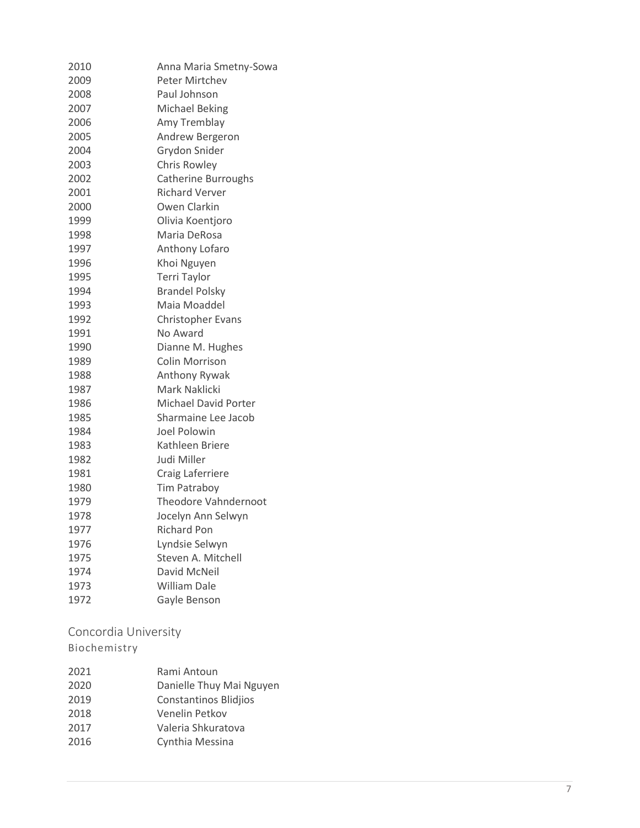| 2010 | Anna Maria Smetny-Sowa      |
|------|-----------------------------|
| 2009 | <b>Peter Mirtchev</b>       |
| 2008 | Paul Johnson                |
| 2007 | <b>Michael Beking</b>       |
| 2006 | Amy Tremblay                |
| 2005 | Andrew Bergeron             |
| 2004 | Grydon Snider               |
| 2003 | Chris Rowley                |
| 2002 | <b>Catherine Burroughs</b>  |
| 2001 | <b>Richard Verver</b>       |
| 2000 | Owen Clarkin                |
| 1999 | Olivia Koentjoro            |
| 1998 | Maria DeRosa                |
| 1997 | Anthony Lofaro              |
| 1996 | Khoi Nguyen                 |
| 1995 | Terri Taylor                |
| 1994 | <b>Brandel Polsky</b>       |
| 1993 | Maia Moaddel                |
| 1992 | <b>Christopher Evans</b>    |
| 1991 | No Award                    |
| 1990 | Dianne M. Hughes            |
| 1989 | Colin Morrison              |
| 1988 | Anthony Rywak               |
| 1987 | Mark Naklicki               |
| 1986 | <b>Michael David Porter</b> |
| 1985 | Sharmaine Lee Jacob         |
| 1984 | Joel Polowin                |
| 1983 | Kathleen Briere             |
| 1982 | Judi Miller                 |
| 1981 | Craig Laferriere            |
| 1980 | Tim Patraboy                |
| 1979 | <b>Theodore Vahndernoot</b> |
| 1978 | Jocelyn Ann Selwyn          |
| 1977 | <b>Richard Pon</b>          |
| 1976 | Lyndsie Selwyn              |
| 1975 | Steven A. Mitchell          |
| 1974 | David McNeil                |
| 1973 | <b>William Dale</b>         |
| 1972 | Gayle Benson                |
|      |                             |

<span id="page-6-0"></span>Concordia University

| 2021 | Rami Antoun                  |
|------|------------------------------|
| 2020 | Danielle Thuy Mai Nguyen     |
| 2019 | <b>Constantinos Blidjios</b> |
| 2018 | Venelin Petkov               |
| 2017 | Valeria Shkuratova           |
| 2016 | Cynthia Messina              |
|      |                              |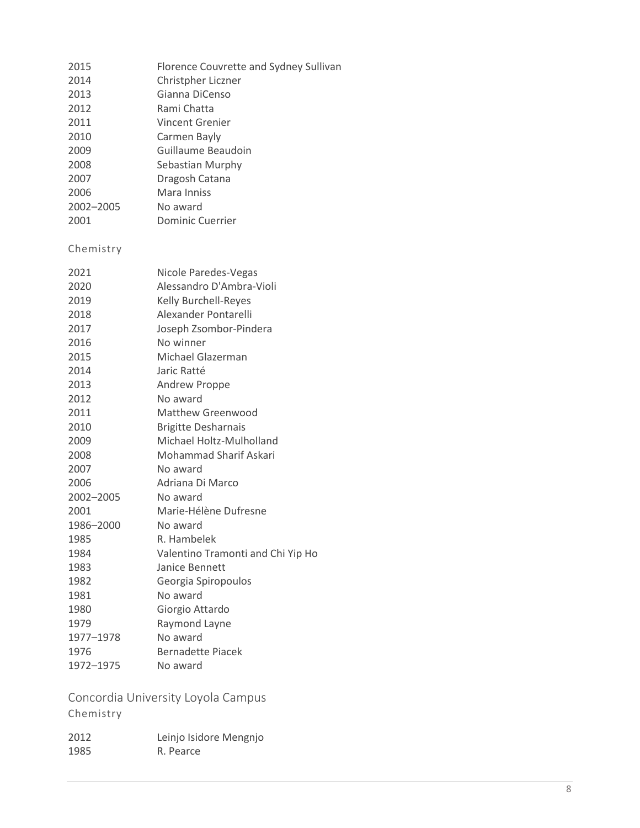| 2015      | Florence Couvrette and Sydney Sullivan |
|-----------|----------------------------------------|
| 2014      | Christpher Liczner                     |
| 2013      | Gianna DiCenso                         |
| 2012      | Rami Chatta                            |
| 2011      | Vincent Grenier                        |
| 2010      | Carmen Bayly                           |
| 2009      | Guillaume Beaudoin                     |
| 2008      | Sebastian Murphy                       |
| 2007      | Dragosh Catana                         |
| 2006      | Mara Inniss                            |
| 2002-2005 | No award                               |
| 2001      | Dominic Cuerrier                       |
| Chemistry |                                        |
| 2021      | Nicole Paredes-Vegas                   |

| ∠∪∠⊥      | INICUIE FAIEUES-VERAS             |
|-----------|-----------------------------------|
| 2020      | Alessandro D'Ambra-Violi          |
| 2019      | <b>Kelly Burchell-Reyes</b>       |
| 2018      | Alexander Pontarelli              |
| 2017      | Joseph Zsombor-Pindera            |
| 2016      | No winner                         |
| 2015      | Michael Glazerman                 |
| 2014      | Jaric Ratté                       |
| 2013      | <b>Andrew Proppe</b>              |
| 2012      | No award                          |
| 2011      | Matthew Greenwood                 |
| 2010      | <b>Brigitte Desharnais</b>        |
| 2009      | Michael Holtz-Mulholland          |
| 2008      | <b>Mohammad Sharif Askari</b>     |
| 2007      | No award                          |
| 2006      | Adriana Di Marco                  |
| 2002-2005 | No award                          |
| 2001      | Marie-Hélène Dufresne             |
| 1986-2000 | No award                          |
| 1985      | R. Hambelek                       |
| 1984      | Valentino Tramonti and Chi Yip Ho |
| 1983      | Janice Bennett                    |
| 1982      | Georgia Spiropoulos               |
| 1981      | No award                          |
| 1980      | Giorgio Attardo                   |
| 1979      | Raymond Layne                     |
| 1977-1978 | No award                          |
| 1976      | <b>Bernadette Piacek</b>          |
| 1972-1975 | No award                          |
|           |                                   |

<span id="page-7-0"></span>Concordia University Loyola Campus Chemistry

| 2012 | Leinjo Isidore Mengnjo |
|------|------------------------|
| 1985 | R. Pearce              |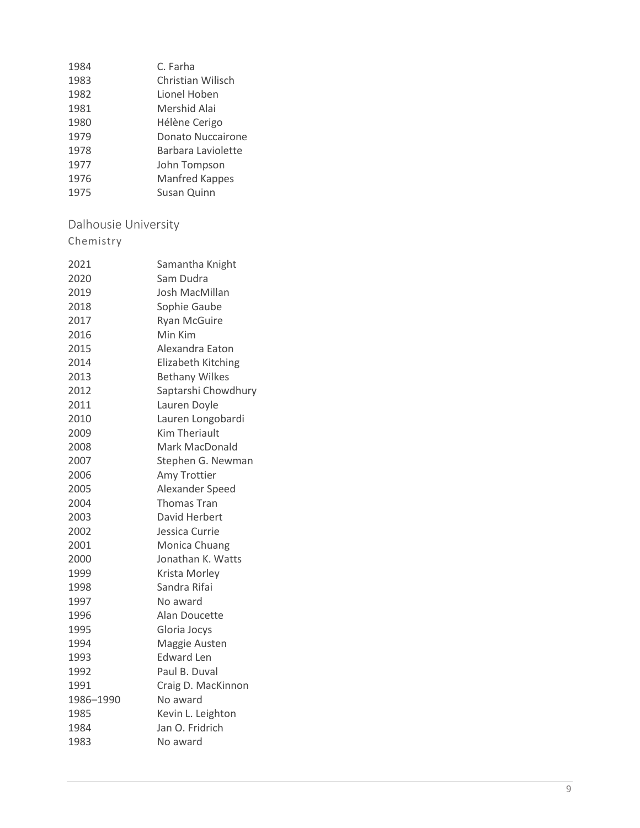| 1984 | C. Farha              |
|------|-----------------------|
| 1983 | Christian Wilisch     |
| 1982 | Lionel Hoben          |
| 1981 | Mershid Alai          |
| 1980 | Hélène Cerigo         |
| 1979 | Donato Nuccairone     |
| 1978 | Barbara Laviolette    |
| 1977 | John Tompson          |
| 1976 | <b>Manfred Kappes</b> |
| 1975 | Susan Quinn           |

# <span id="page-8-0"></span>Dalhousie University

| 2021      | Samantha Knight       |
|-----------|-----------------------|
| 2020      | Sam Dudra             |
| 2019      | Josh MacMillan        |
| 2018      | Sophie Gaube          |
| 2017      | <b>Ryan McGuire</b>   |
| 2016      | Min Kim               |
| 2015      | Alexandra Eaton       |
| 2014      | Elizabeth Kitching    |
| 2013      | <b>Bethany Wilkes</b> |
| 2012      | Saptarshi Chowdhury   |
| 2011      | Lauren Doyle          |
| 2010      | Lauren Longobardi     |
| 2009      | <b>Kim Theriault</b>  |
| 2008      | <b>Mark MacDonald</b> |
| 2007      | Stephen G. Newman     |
| 2006      | Amy Trottier          |
| 2005      | Alexander Speed       |
| 2004      | <b>Thomas Tran</b>    |
| 2003      | David Herbert         |
| 2002      | Jessica Currie        |
| 2001      | Monica Chuang         |
| 2000      | Jonathan K. Watts     |
| 1999      | Krista Morley         |
| 1998      | Sandra Rifai          |
| 1997      | No award              |
| 1996      | Alan Doucette         |
| 1995      | Gloria Jocys          |
| 1994      | Maggie Austen         |
| 1993      | <b>Edward Len</b>     |
| 1992      | Paul B. Duval         |
| 1991      | Craig D. MacKinnon    |
| 1986-1990 | No award              |
| 1985      | Kevin L. Leighton     |
| 1984      | Jan O. Fridrich       |
| 1983      | No award              |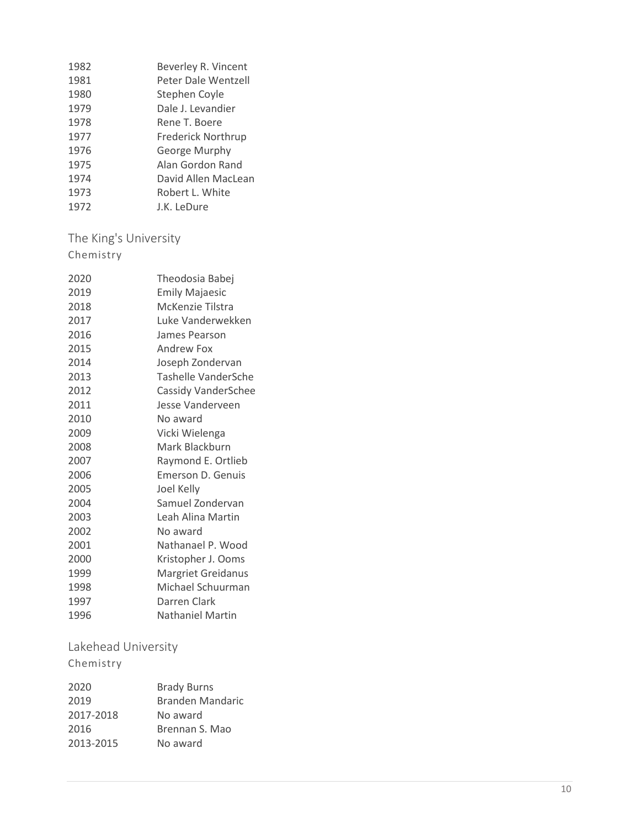| Beverley R. Vincent       |
|---------------------------|
| Peter Dale Wentzell       |
| Stephen Coyle             |
| Dale J. Levandier         |
| Rene T. Boere             |
| <b>Frederick Northrup</b> |
| George Murphy             |
| Alan Gordon Rand          |
| David Allen MacLean       |
| Robert L. White           |
| J.K. LeDure               |
|                           |

<span id="page-9-0"></span>The King's University Chemistry

| 2020 | Theodosia Babej            |
|------|----------------------------|
| 2019 | <b>Emily Majaesic</b>      |
| 2018 | McKenzie Tilstra           |
| 2017 | Luke Vanderwekken          |
| 2016 | James Pearson              |
| 2015 | <b>Andrew Fox</b>          |
| 2014 | Joseph Zondervan           |
| 2013 | Tashelle VanderSche        |
| 2012 | <b>Cassidy VanderSchee</b> |
| 2011 | Jesse Vanderveen           |
| 2010 | No award                   |
| 2009 | Vicki Wielenga             |
| 2008 | Mark Blackburn             |
| 2007 | Raymond E. Ortlieb         |
| 2006 | Emerson D. Genuis          |
| 2005 | Joel Kelly                 |
| 2004 | Samuel Zondervan           |
| 2003 | Leah Alina Martin          |
| 2002 | No award                   |
| 2001 | Nathanael P. Wood          |
| 2000 | Kristopher J. Ooms         |
| 1999 | <b>Margriet Greidanus</b>  |
| 1998 | Michael Schuurman          |
| 1997 | Darren Clark               |
| 1996 | <b>Nathaniel Martin</b>    |

<span id="page-9-1"></span>Lakehead University

| <b>Brady Burns</b> |
|--------------------|
| Branden Mandaric   |
|                    |
| No award           |
| Brennan S. Mao     |
| No award           |
|                    |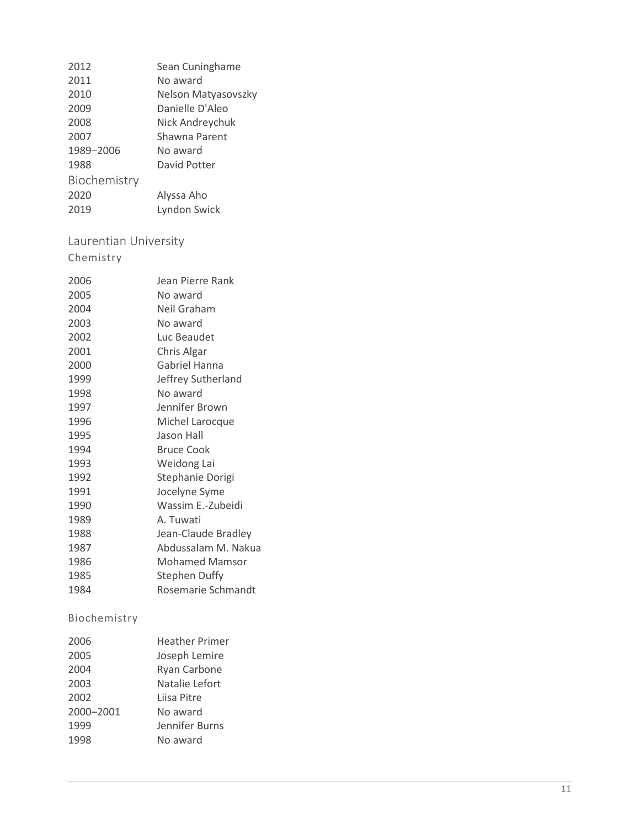| Sean Cuninghame     |
|---------------------|
| No award            |
| Nelson Matyasovszky |
| Danielle D'Aleo     |
| Nick Andreychuk     |
| Shawna Parent       |
| No award            |
| David Potter        |
|                     |
| Alyssa Aho          |
| Lyndon Swick        |
|                     |

# <span id="page-10-0"></span>Laurentian University

# Chemistry

| 2006 | Jean Pierre Rank      |
|------|-----------------------|
| 2005 | No award              |
| 2004 | Neil Graham           |
| 2003 | No award              |
| 2002 | Luc Beaudet           |
| 2001 | Chris Algar           |
| 2000 | Gabriel Hanna         |
| 1999 | Jeffrey Sutherland    |
| 1998 | No award              |
| 1997 | Jennifer Brown        |
| 1996 | Michel Larocque       |
| 1995 | Jason Hall            |
| 1994 | <b>Bruce Cook</b>     |
| 1993 | Weidong Lai           |
| 1992 | Stephanie Dorigi      |
| 1991 | Jocelyne Syme         |
| 1990 | Wassim E.-Zubeidi     |
| 1989 | A. Tuwati             |
| 1988 | Jean-Claude Bradley   |
| 1987 | Abdussalam M. Nakua   |
| 1986 | <b>Mohamed Mamsor</b> |
| 1985 | <b>Stephen Duffy</b>  |
| 1984 | Rosemarie Schmandt    |
|      |                       |

| 2006      | <b>Heather Primer</b> |
|-----------|-----------------------|
| 2005      | Joseph Lemire         |
| 2004      | Ryan Carbone          |
| 2003      | Natalie Lefort        |
| 2002      | Liisa Pitre           |
| 2000-2001 | No award              |
| 1999      | Jennifer Burns        |
| 1998      | No award              |
|           |                       |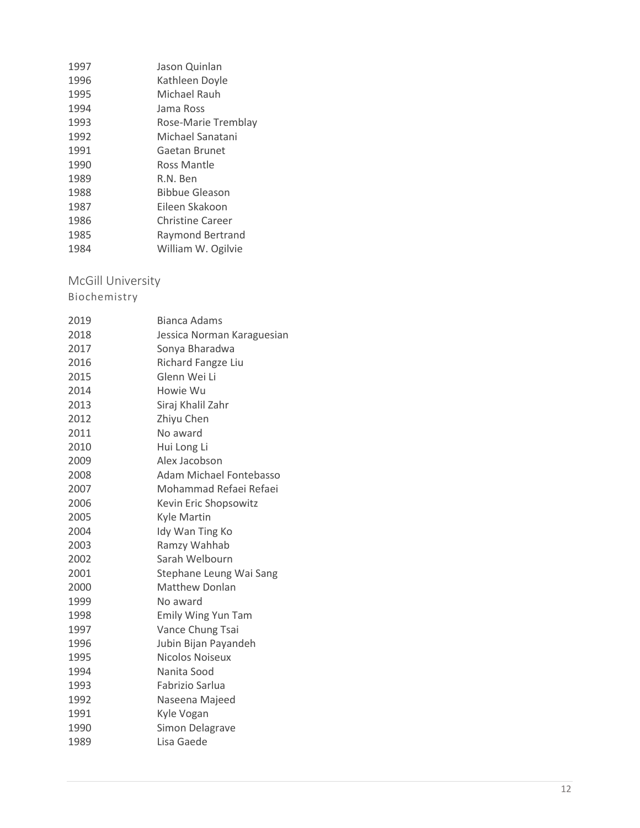| 1997 | Jason Quinlan           |
|------|-------------------------|
| 1996 | Kathleen Doyle          |
| 1995 | Michael Rauh            |
| 1994 | Jama Ross               |
| 1993 | Rose-Marie Tremblay     |
| 1992 | Michael Sanatani        |
| 1991 | Gaetan Brunet           |
| 1990 | Ross Mantle             |
| 1989 | R.N. Ben                |
| 1988 | <b>Bibbue Gleason</b>   |
| 1987 | Eileen Skakoon          |
| 1986 | <b>Christine Career</b> |
| 1985 | Raymond Bertrand        |
| 1984 | William W. Ogilvie      |

#### <span id="page-11-0"></span>McGill University

| 2019 | <b>Bianca Adams</b>        |
|------|----------------------------|
| 2018 | Jessica Norman Karaguesian |
| 2017 | Sonya Bharadwa             |
| 2016 | Richard Fangze Liu         |
| 2015 | Glenn Wei Li               |
| 2014 | Howie Wu                   |
| 2013 | Siraj Khalil Zahr          |
| 2012 | Zhiyu Chen                 |
| 2011 | No award                   |
| 2010 | Hui Long Li                |
| 2009 | Alex Jacobson              |
| 2008 | Adam Michael Fontebasso    |
| 2007 | Mohammad Refaei Refaei     |
| 2006 | Kevin Eric Shopsowitz      |
| 2005 | <b>Kyle Martin</b>         |
| 2004 | Idy Wan Ting Ko            |
| 2003 | Ramzy Wahhab               |
| 2002 | Sarah Welbourn             |
| 2001 | Stephane Leung Wai Sang    |
| 2000 | <b>Matthew Donlan</b>      |
| 1999 | No award                   |
| 1998 | Emily Wing Yun Tam         |
| 1997 | Vance Chung Tsai           |
| 1996 | Jubin Bijan Payandeh       |
| 1995 | Nicolos Noiseux            |
| 1994 | Nanita Sood                |
| 1993 | Fabrizio Sarlua            |
| 1992 | Naseena Majeed             |
| 1991 | Kyle Vogan                 |
| 1990 | Simon Delagrave            |
| 1989 | Lisa Gaede                 |
|      |                            |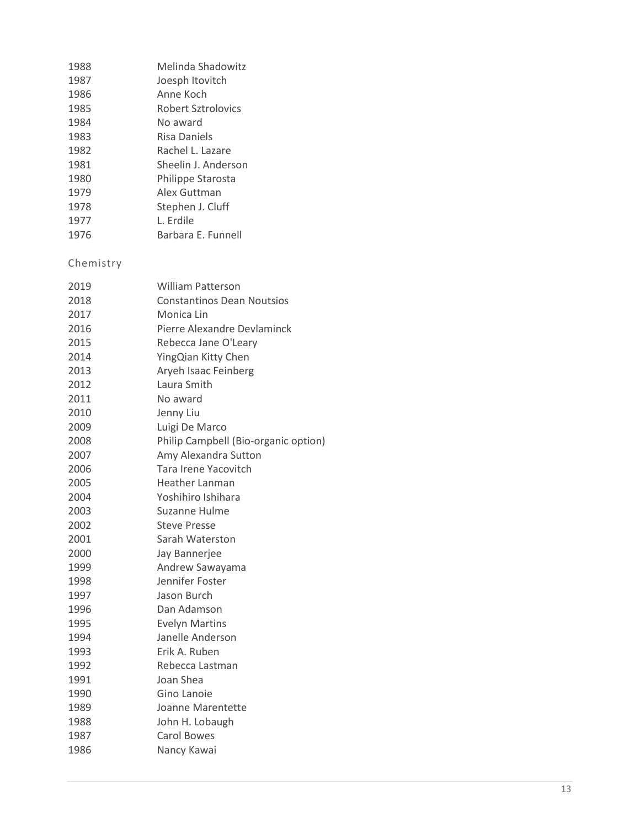| 1988      | Melinda Shadowitz                    |
|-----------|--------------------------------------|
| 1987      | Joesph Itovitch                      |
| 1986      | Anne Koch                            |
| 1985      | <b>Robert Sztrolovics</b>            |
| 1984      | No award                             |
| 1983      | <b>Risa Daniels</b>                  |
| 1982      | Rachel L. Lazare                     |
| 1981      | Sheelin J. Anderson                  |
| 1980      | Philippe Starosta                    |
| 1979      | Alex Guttman                         |
| 1978      | Stephen J. Cluff                     |
| 1977      | L. Erdile                            |
| 1976      | Barbara E. Funnell                   |
| Chemistry |                                      |
| 2019      | <b>William Patterson</b>             |
| 2018      | <b>Constantinos Dean Noutsios</b>    |
| 2017      | Monica Lin                           |
| 2016      | Pierre Alexandre Devlaminck          |
| 2015      | Rebecca Jane O'Leary                 |
| 2014      | YingQian Kitty Chen                  |
| 2013      | Aryeh Isaac Feinberg                 |
| 2012      | Laura Smith                          |
| 2011      | No award                             |
| 2010      | Jenny Liu                            |
| 2009      | Luigi De Marco                       |
| 2008      | Philip Campbell (Bio-organic option) |
| 2007      | Amy Alexandra Sutton                 |
| 2006      | Tara Irene Yacovitch                 |
| 2005      | Heather Lanman                       |
| 2004      | Yoshihiro Ishihara                   |
| 2003      | Suzanne Hulme                        |
| 2002      | <b>Steve Presse</b>                  |
| 2001      | Sarah Waterston                      |
| 2000      | Jay Bannerjee                        |
| 1999      | Andrew Sawayama                      |
| 1998      | Jennifer Foster                      |
| 1997      | Jason Burch                          |
| 1996      | Dan Adamson                          |
| 1995      | <b>Evelyn Martins</b>                |
| 1994      | Janelle Anderson                     |
| 1993      | Erik A. Ruben                        |
| 1992      | Rebecca Lastman                      |
| 1991      | Joan Shea                            |
| 1990      | Gino Lanoie                          |
| 1989      | Joanne Marentette                    |
| 1988      | John H. Lobaugh                      |
| 1987      | <b>Carol Bowes</b>                   |
| 1986      | Nancy Kawai                          |
|           |                                      |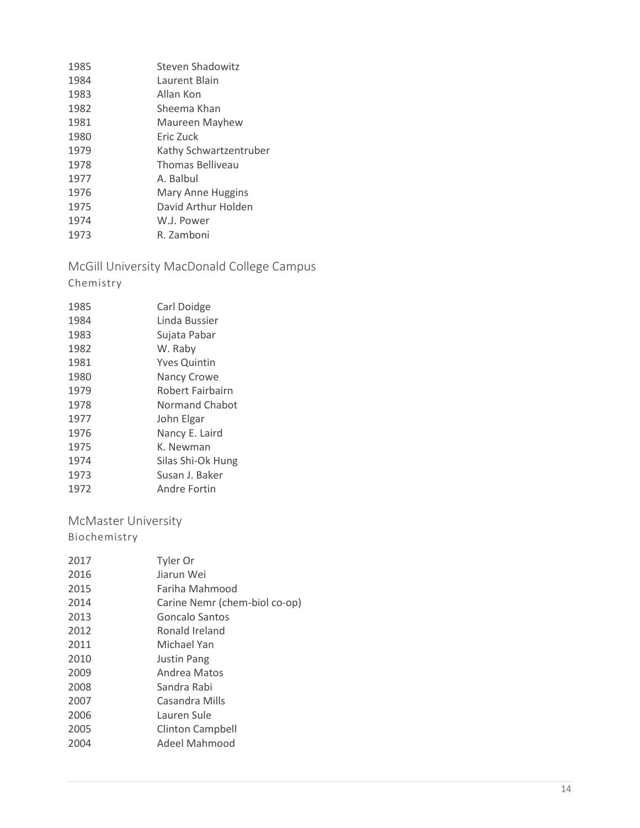| 1985 | <b>Steven Shadowitz</b> |
|------|-------------------------|
| 1984 | Laurent Blain           |
| 1983 | Allan Kon               |
| 1982 | Sheema Khan             |
| 1981 | Maureen Mayhew          |
| 1980 | Eric Zuck               |
| 1979 | Kathy Schwartzentruber  |
| 1978 | Thomas Belliveau        |
| 1977 | A. Balbul               |
| 1976 | Mary Anne Huggins       |
| 1975 | David Arthur Holden     |
| 1974 | W.J. Power              |
| 1973 | R. Zamboni              |

<span id="page-13-0"></span>McGill University MacDonald College Campus

Chemistry

| 1985 | Carl Doidge         |
|------|---------------------|
| 1984 | Linda Bussier       |
| 1983 | Sujata Pabar        |
| 1982 | W. Raby             |
| 1981 | <b>Yves Quintin</b> |
| 1980 | <b>Nancy Crowe</b>  |
| 1979 | Robert Fairbairn    |
| 1978 | Normand Chabot      |
| 1977 | John Elgar          |
| 1976 | Nancy E. Laird      |
| 1975 | K. Newman           |
| 1974 | Silas Shi-Ok Hung   |
| 1973 | Susan J. Baker      |
| 1972 | Andre Fortin        |

<span id="page-13-1"></span>McMaster University

| 2017 | Tyler Or                      |
|------|-------------------------------|
| 2016 | Jiarun Wei                    |
| 2015 | Fariha Mahmood                |
| 2014 | Carine Nemr (chem-biol co-op) |
| 2013 | Goncalo Santos                |
| 2012 | Ronald Ireland                |
| 2011 | Michael Yan                   |
| 2010 | <b>Justin Pang</b>            |
| 2009 | Andrea Matos                  |
| 2008 | Sandra Rabi                   |
| 2007 | Casandra Mills                |
| 2006 | Lauren Sule                   |
| 2005 | Clinton Campbell              |
| 2004 | Adeel Mahmood                 |
|      |                               |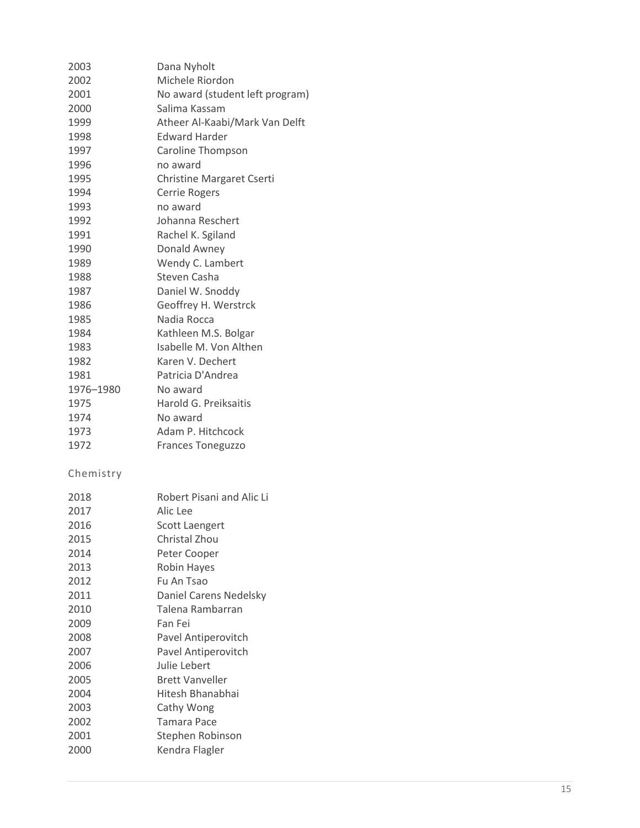| 2003      | Dana Nyholt                      |
|-----------|----------------------------------|
| 2002      | Michele Riordon                  |
| 2001      | No award (student left program)  |
| 2000      | Salima Kassam                    |
| 1999      | Atheer Al-Kaabi/Mark Van Delft   |
| 1998      | <b>Edward Harder</b>             |
| 1997      | <b>Caroline Thompson</b>         |
| 1996      | no award                         |
| 1995      | <b>Christine Margaret Cserti</b> |
| 1994      | Cerrie Rogers                    |
| 1993      | no award                         |
| 1992      | Johanna Reschert                 |
| 1991      | Rachel K. Sgiland                |
| 1990      | Donald Awney                     |
| 1989      | Wendy C. Lambert                 |
| 1988      | Steven Casha                     |
| 1987      | Daniel W. Snoddy                 |
| 1986      | Geoffrey H. Werstrck             |
| 1985      | Nadia Rocca                      |
| 1984      | Kathleen M.S. Bolgar             |
| 1983      | Isabelle M. Von Althen           |
| 1982      | Karen V. Dechert                 |
| 1981      | Patricia D'Andrea                |
| 1976-1980 | No award                         |
| 1975      | Harold G. Preiksaitis            |
| 1974      | No award                         |
| 1973      | Adam P. Hitchcock                |
| 1972      | <b>Frances Toneguzzo</b>         |
|           |                                  |

| 2018 | Robert Pisani and Alic Li |
|------|---------------------------|
| 2017 | Alic Lee                  |
| 2016 | Scott Laengert            |
| 2015 | Christal Zhou             |
| 2014 | Peter Cooper              |
| 2013 | Robin Hayes               |
| 2012 | Fu An Tsao                |
| 2011 | Daniel Carens Nedelsky    |
| 2010 | Talena Rambarran          |
| 2009 | Fan Fei                   |
| 2008 | Pavel Antiperovitch       |
| 2007 | Pavel Antiperovitch       |
| 2006 | Julie Lebert              |
| 2005 | <b>Brett Vanveller</b>    |
| 2004 | Hitesh Bhanabhai          |
| 2003 | Cathy Wong                |
| 2002 | Tamara Pace               |
| 2001 | Stephen Robinson          |
| 2000 | Kendra Flagler            |
|      |                           |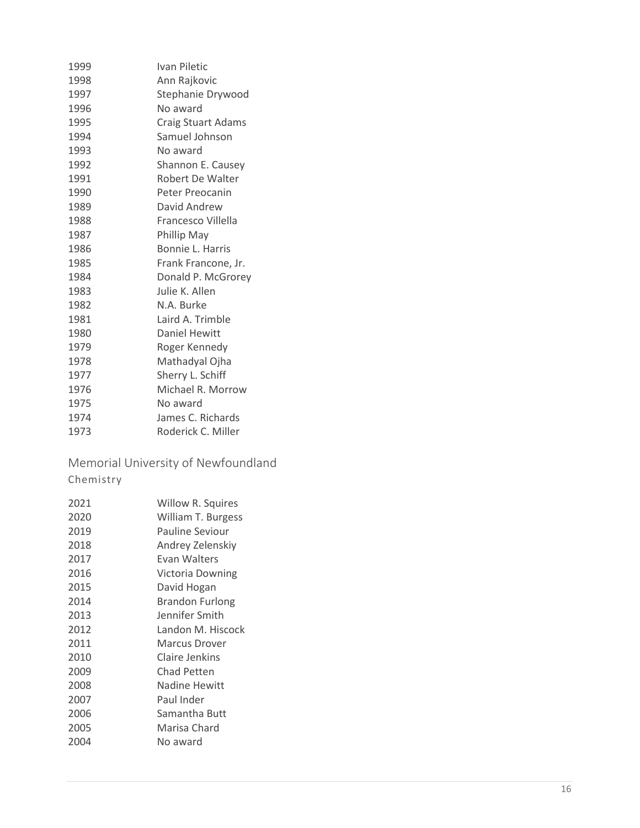| 1999 | Ivan Piletic              |
|------|---------------------------|
| 1998 | Ann Rajkovic              |
| 1997 | Stephanie Drywood         |
| 1996 | No award                  |
| 1995 | <b>Craig Stuart Adams</b> |
| 1994 | Samuel Johnson            |
| 1993 | No award                  |
| 1992 | Shannon E. Causey         |
| 1991 | Robert De Walter          |
| 1990 | Peter Preocanin           |
| 1989 | David Andrew              |
| 1988 | Francesco Villella        |
| 1987 | Phillip May               |
| 1986 | <b>Bonnie L. Harris</b>   |
| 1985 | Frank Francone, Jr.       |
| 1984 | Donald P. McGrorey        |
| 1983 | Julie K. Allen            |
| 1982 | N.A. Burke                |
| 1981 | Laird A. Trimble          |
| 1980 | <b>Daniel Hewitt</b>      |
| 1979 | Roger Kennedy             |
| 1978 | Mathadyal Ojha            |
| 1977 | Sherry L. Schiff          |
| 1976 | Michael R. Morrow         |
| 1975 | No award                  |
| 1974 | James C. Richards         |
| 1973 | Roderick C. Miller        |

<span id="page-15-0"></span>Memorial University of Newfoundland Chemistry

| 2021 | Willow R. Squires     |
|------|-----------------------|
| 2020 | William T. Burgess    |
| 2019 | Pauline Seviour       |
| 2018 | Andrey Zelenskiy      |
| 2017 | Evan Walters          |
| 2016 | Victoria Downing      |
| 2015 | David Hogan           |
| 2014 | Brandon Furlong       |
| 2013 | Jennifer Smith        |
| 2012 | Landon M. Hiscock     |
| 2011 | Marcus Drover         |
| 2010 | <b>Claire Jenkins</b> |
| 2009 | Chad Petten           |
| 2008 | Nadine Hewitt         |
| 2007 | Paul Inder            |
| 2006 | Samantha Butt         |
| 2005 | Marisa Chard          |
| 2004 | No award              |
|      |                       |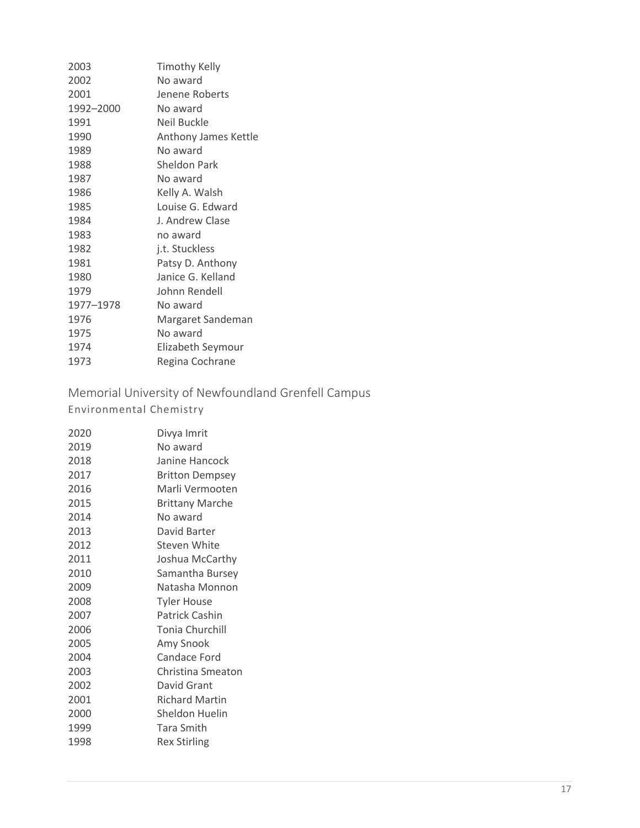| 2003      | <b>Timothy Kelly</b> |
|-----------|----------------------|
| 2002      | No award             |
| 2001      | Jenene Roberts       |
| 1992-2000 | No award             |
| 1991      | Neil Buckle          |
| 1990      | Anthony James Kettle |
| 1989      | No award             |
| 1988      | Sheldon Park         |
| 1987      | No award             |
| 1986      | Kelly A. Walsh       |
| 1985      | Louise G. Edward     |
| 1984      | J. Andrew Clase      |
| 1983      | no award             |
| 1982      | j.t. Stuckless       |
| 1981      | Patsy D. Anthony     |
| 1980      | Janice G. Kelland    |
| 1979      | Johnn Rendell        |
| 1977-1978 | No award             |
| 1976      | Margaret Sandeman    |
| 1975      | No award             |
| 1974      | Elizabeth Seymour    |
| 1973      | Regina Cochrane      |

<span id="page-16-0"></span>Memorial University of Newfoundland Grenfell Campus Environmental Chemistry

| 2020 | Divya Imrit            |
|------|------------------------|
| 2019 | No award               |
| 2018 | Janine Hancock         |
| 2017 | <b>Britton Dempsey</b> |
| 2016 | Marli Vermooten        |
| 2015 | <b>Brittany Marche</b> |
| 2014 | No award               |
| 2013 | David Barter           |
| 2012 | Steven White           |
| 2011 | Joshua McCarthy        |
| 2010 | Samantha Bursey        |
| 2009 | Natasha Monnon         |
| 2008 | <b>Tyler House</b>     |
| 2007 | Patrick Cashin         |
| 2006 | <b>Tonia Churchill</b> |
| 2005 | Amy Snook              |
| 2004 | Candace Ford           |
| 2003 | Christina Smeaton      |
| 2002 | David Grant            |
| 2001 | <b>Richard Martin</b>  |
| 2000 | Sheldon Huelin         |
| 1999 | Tara Smith             |
| 1998 | <b>Rex Stirling</b>    |
|      |                        |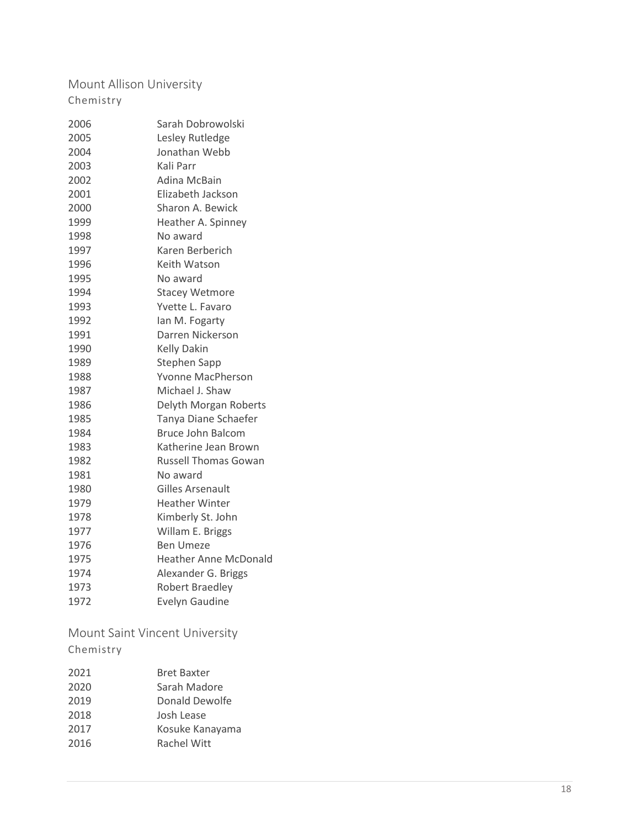<span id="page-17-0"></span>Mount Allison University Chemistry

| 2006 | Sarah Dobrowolski            |
|------|------------------------------|
| 2005 | Lesley Rutledge              |
| 2004 | Jonathan Webb                |
| 2003 | Kali Parr                    |
| 2002 | Adina McBain                 |
| 2001 | Elizabeth Jackson            |
| 2000 | Sharon A. Bewick             |
| 1999 | Heather A. Spinney           |
| 1998 | No award                     |
| 1997 | Karen Berberich              |
| 1996 | Keith Watson                 |
| 1995 | No award                     |
| 1994 | <b>Stacey Wetmore</b>        |
| 1993 | Yvette L. Favaro             |
| 1992 | Ian M. Fogarty               |
| 1991 | Darren Nickerson             |
| 1990 | <b>Kelly Dakin</b>           |
| 1989 | <b>Stephen Sapp</b>          |
| 1988 | Yvonne MacPherson            |
| 1987 | Michael J. Shaw              |
| 1986 | Delyth Morgan Roberts        |
| 1985 | Tanya Diane Schaefer         |
| 1984 | <b>Bruce John Balcom</b>     |
| 1983 | Katherine Jean Brown         |
| 1982 | <b>Russell Thomas Gowan</b>  |
| 1981 | No award                     |
| 1980 | Gilles Arsenault             |
| 1979 | <b>Heather Winter</b>        |
| 1978 | Kimberly St. John            |
| 1977 | Willam E. Briggs             |
| 1976 | Ben Umeze                    |
| 1975 | <b>Heather Anne McDonald</b> |
| 1974 | Alexander G. Briggs          |
| 1973 | Robert Braedley              |
| 1972 | <b>Evelyn Gaudine</b>        |
|      |                              |

<span id="page-17-1"></span>Mount Saint Vincent University

| 2021 | <b>Bret Baxter</b> |
|------|--------------------|
| 2020 | Sarah Madore       |
| 2019 | Donald Dewolfe     |
| 2018 | Josh Lease         |
| 2017 | Kosuke Kanayama    |
| 2016 | <b>Rachel Witt</b> |
|      |                    |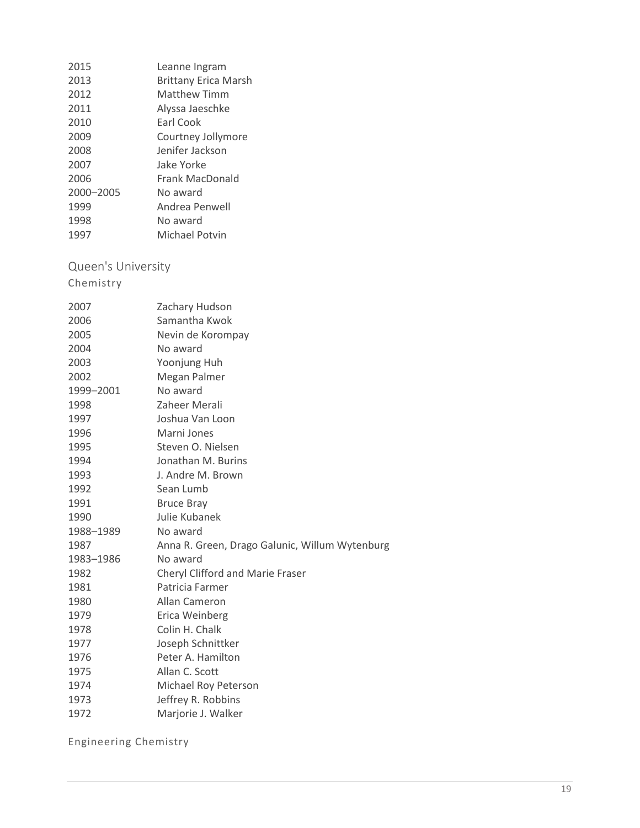| 2015      | Leanne Ingram               |
|-----------|-----------------------------|
| 2013      | <b>Brittany Erica Marsh</b> |
| 2012      | Matthew Timm                |
| 2011      | Alyssa Jaeschke             |
| 2010      | Earl Cook                   |
| 2009      | Courtney Jollymore          |
| 2008      | Jenifer Jackson             |
| 2007      | Jake Yorke                  |
| 2006      | Frank MacDonald             |
| 2000-2005 | No award                    |
| 1999      | Andrea Penwell              |
| 1998      | No award                    |
| 1997      | Michael Potvin              |

<span id="page-18-0"></span>Queen's University

Chemistry

| 2007      | Zachary Hudson                                 |
|-----------|------------------------------------------------|
| 2006      | Samantha Kwok                                  |
| 2005      | Nevin de Korompay                              |
| 2004      | No award                                       |
| 2003      | Yoonjung Huh                                   |
| 2002      | Megan Palmer                                   |
| 1999-2001 | No award                                       |
| 1998      | Zaheer Merali                                  |
| 1997      | Joshua Van Loon                                |
| 1996      | Marni Jones                                    |
| 1995      | Steven O. Nielsen                              |
| 1994      | Jonathan M. Burins                             |
| 1993      | J. Andre M. Brown                              |
| 1992      | Sean Lumb                                      |
| 1991      | <b>Bruce Bray</b>                              |
| 1990      | Julie Kubanek                                  |
| 1988-1989 | No award                                       |
| 1987      | Anna R. Green, Drago Galunic, Willum Wytenburg |
| 1983-1986 | No award                                       |
| 1982      | Cheryl Clifford and Marie Fraser               |
| 1981      | Patricia Farmer                                |
| 1980      | Allan Cameron                                  |
| 1979      | Erica Weinberg                                 |
| 1978      | Colin H. Chalk                                 |
| 1977      | Joseph Schnittker                              |
| 1976      | Peter A. Hamilton                              |
| 1975      | Allan C. Scott                                 |
| 1974      | Michael Roy Peterson                           |
| 1973      | Jeffrey R. Robbins                             |
| 1972      | Marjorie J. Walker                             |

Engineering Chemistry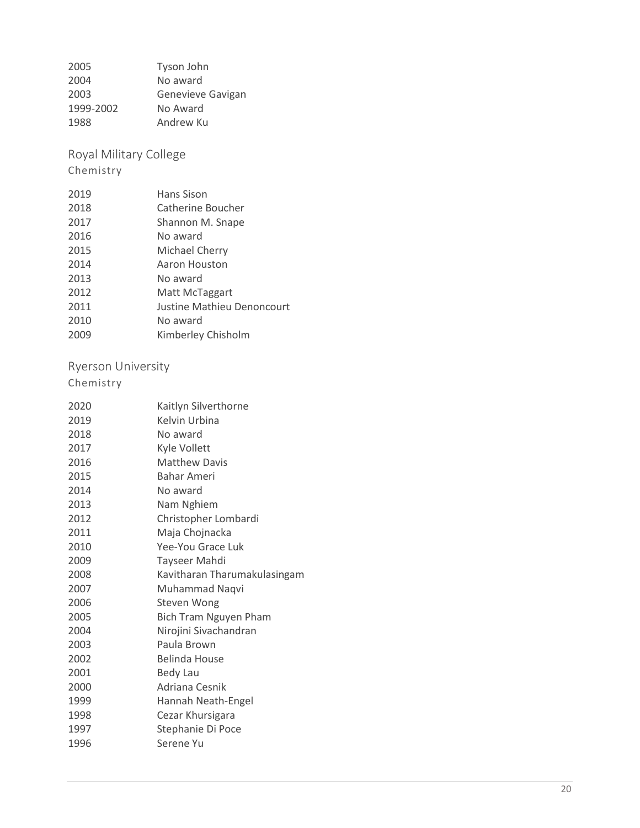| 2005      | Tyson John        |
|-----------|-------------------|
| 2004      | No award          |
| 2003      | Genevieve Gavigan |
| 1999-2002 | No Award          |
| 1988      | Andrew Ku         |

<span id="page-19-0"></span>Royal Military College

Chemistry

| 2019 | Hans Sison                 |
|------|----------------------------|
| 2018 | Catherine Boucher          |
| 2017 | Shannon M. Snape           |
| 2016 | No award                   |
| 2015 | Michael Cherry             |
| 2014 | Aaron Houston              |
| 2013 | No award                   |
| 2012 | Matt McTaggart             |
| 2011 | Justine Mathieu Denoncourt |
| 2010 | No award                   |
| 2009 | Kimberley Chisholm         |

# <span id="page-19-1"></span>Ryerson University

| 2020 | Kaitlyn Silverthorne         |
|------|------------------------------|
| 2019 | Kelvin Urbina                |
| 2018 | No award                     |
| 2017 | Kyle Vollett                 |
| 2016 | <b>Matthew Davis</b>         |
| 2015 | <b>Bahar Ameri</b>           |
| 2014 | No award                     |
| 2013 | Nam Nghiem                   |
| 2012 | Christopher Lombardi         |
| 2011 | Maja Chojnacka               |
| 2010 | Yee-You Grace Luk            |
| 2009 | <b>Tayseer Mahdi</b>         |
| 2008 | Kavitharan Tharumakulasingam |
| 2007 | Muhammad Naqvi               |
| 2006 | Steven Wong                  |
| 2005 | Bich Tram Nguyen Pham        |
| 2004 | Nirojini Sivachandran        |
| 2003 | Paula Brown                  |
| 2002 | Belinda House                |
| 2001 | <b>Bedy Lau</b>              |
| 2000 | Adriana Cesnik               |
| 1999 | Hannah Neath-Engel           |
| 1998 | Cezar Khursigara             |
| 1997 | Stephanie Di Poce            |
| 1996 | Serene Yu                    |
|      |                              |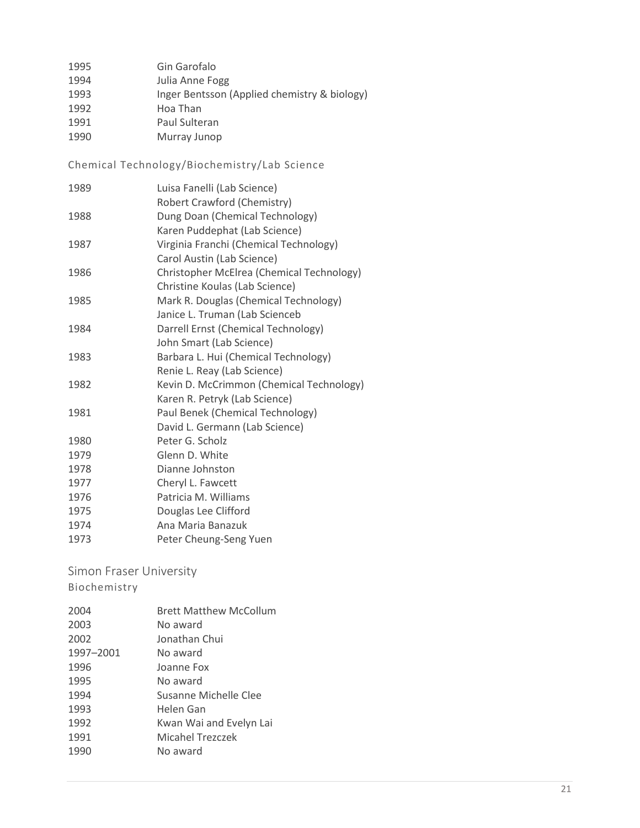| 1995 | Gin Garofalo                                 |
|------|----------------------------------------------|
| 1994 | Julia Anne Fogg                              |
| 1993 | Inger Bentsson (Applied chemistry & biology) |
| 1992 | Hoa Than                                     |
| 1991 | Paul Sulteran                                |
| 1990 | Murray Junop                                 |

Chemical Technology/Biochemistry/Lab Science

 Luisa Fanelli (Lab Science) Robert Crawford (Chemistry) Dung Doan (Chemical Technology) Karen Puddephat (Lab Science) Virginia Franchi (Chemical Technology) Carol Austin (Lab Science) Christopher McElrea (Chemical Technology) Christine Koulas (Lab Science) Mark R. Douglas (Chemical Technology) Janice L. Truman (Lab Scienceb Darrell Ernst (Chemical Technology) John Smart (Lab Science) Barbara L. Hui (Chemical Technology) Renie L. Reay (Lab Science) Kevin D. McCrimmon (Chemical Technology) Karen R. Petryk (Lab Science) Paul Benek (Chemical Technology) David L. Germann (Lab Science) Peter G. Scholz Glenn D. White Dianne Johnston Cheryl L. Fawcett Patricia M. Williams Douglas Lee Clifford Ana Maria Banazuk Peter Cheung-Seng Yuen

#### <span id="page-20-0"></span>Simon Fraser University

| 2004      | <b>Brett Matthew McCollum</b> |
|-----------|-------------------------------|
| 2003      | No award                      |
| 2002      | Jonathan Chui                 |
| 1997-2001 | No award                      |
| 1996      | Joanne Fox                    |
| 1995      | No award                      |
| 1994      | Susanne Michelle Clee         |
| 1993      | Helen Gan                     |
| 1992      | Kwan Wai and Evelyn Lai       |
| 1991      | <b>Micahel Trezczek</b>       |
| 1990      | No award                      |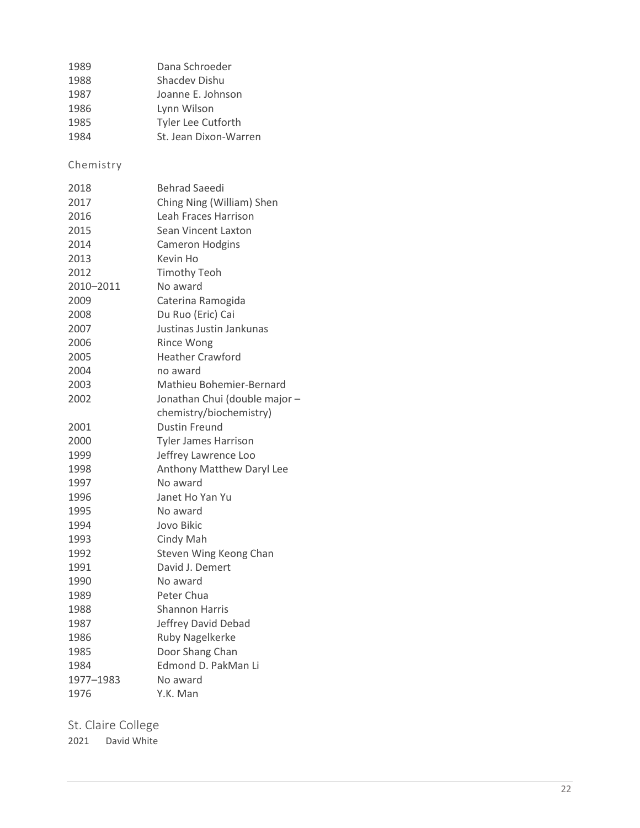| 1989 | Dana Schroeder        |
|------|-----------------------|
| 1988 | Shacdev Dishu         |
| 1987 | Joanne E. Johnson     |
| 1986 | Lynn Wilson           |
| 1985 | Tyler Lee Cutforth    |
| 1984 | St. Jean Dixon-Warren |

Chemistry

| 2018      | <b>Behrad Saeedi</b>          |
|-----------|-------------------------------|
| 2017      | Ching Ning (William) Shen     |
| 2016      | Leah Fraces Harrison          |
| 2015      | Sean Vincent Laxton           |
| 2014      | <b>Cameron Hodgins</b>        |
| 2013      | Kevin Ho                      |
| 2012      | <b>Timothy Teoh</b>           |
| 2010-2011 | No award                      |
| 2009      | Caterina Ramogida             |
| 2008      | Du Ruo (Eric) Cai             |
| 2007      | Justinas Justin Jankunas      |
| 2006      | <b>Rince Wong</b>             |
| 2005      | <b>Heather Crawford</b>       |
| 2004      | no award                      |
| 2003      | Mathieu Bohemier-Bernard      |
| 2002      | Jonathan Chui (double major - |
|           | chemistry/biochemistry)       |
| 2001      | <b>Dustin Freund</b>          |
| 2000      | <b>Tyler James Harrison</b>   |
| 1999      | Jeffrey Lawrence Loo          |
| 1998      | Anthony Matthew Daryl Lee     |
| 1997      | No award                      |
| 1996      | Janet Ho Yan Yu               |
| 1995      | No award                      |
| 1994      | Jovo Bikic                    |
| 1993      | Cindy Mah                     |
| 1992      | Steven Wing Keong Chan        |
| 1991      | David J. Demert               |
| 1990      | No award                      |
| 1989      | Peter Chua                    |
| 1988      | Shannon Harris                |
| 1987      | Jeffrey David Debad           |
| 1986      | Ruby Nagelkerke               |
| 1985      | Door Shang Chan               |
| 1984      | Edmond D. PakMan Li           |
| 1977-1983 | No award                      |
| 1976      | Y.K. Man                      |

<span id="page-21-0"></span>St. Claire College

David White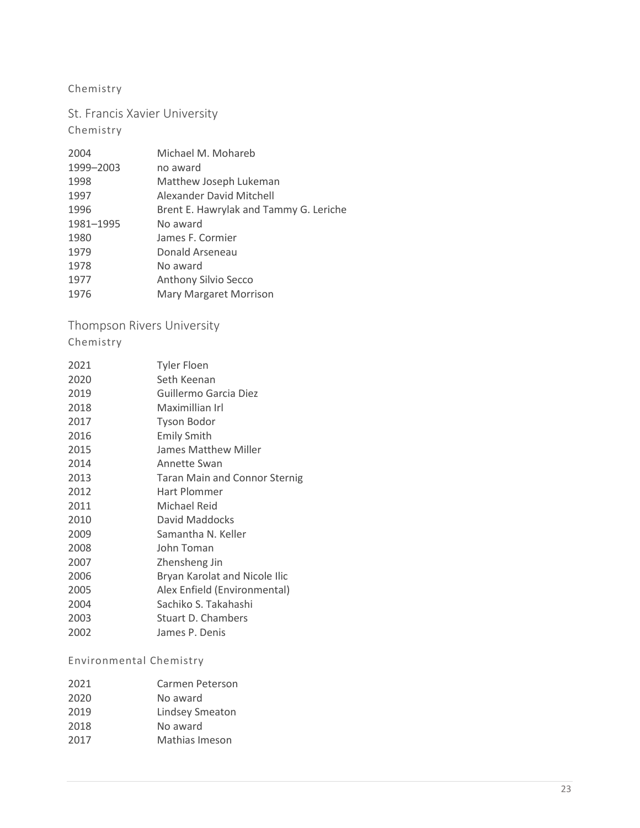#### Chemistry

St. Francis Xavier University

#### Chemistry

| 2004      | Michael M. Mohareb                     |
|-----------|----------------------------------------|
| 1999-2003 | no award                               |
| 1998      | Matthew Joseph Lukeman                 |
| 1997      | Alexander David Mitchell               |
| 1996      | Brent E. Hawrylak and Tammy G. Leriche |
| 1981-1995 | No award                               |
| 1980      | James F. Cormier                       |
| 1979      | Donald Arseneau                        |
| 1978      | No award                               |
| 1977      | <b>Anthony Silvio Secco</b>            |
| 1976      | <b>Mary Margaret Morrison</b>          |
|           |                                        |

<span id="page-22-0"></span>Thompson Rivers University

Chemistry

| 2021 | Tyler Floen                          |
|------|--------------------------------------|
| 2020 | Seth Keenan                          |
| 2019 | Guillermo Garcia Diez                |
| 2018 | Maximillian Irl                      |
| 2017 | <b>Tyson Bodor</b>                   |
| 2016 | <b>Emily Smith</b>                   |
| 2015 | James Matthew Miller                 |
| 2014 | Annette Swan                         |
| 2013 | <b>Taran Main and Connor Sternig</b> |
| 2012 | Hart Plommer                         |
| 2011 | Michael Reid                         |
| 2010 | David Maddocks                       |
| 2009 | Samantha N. Keller                   |
| 2008 | John Toman                           |
| 2007 | Zhensheng Jin                        |
| 2006 | Bryan Karolat and Nicole Ilic        |
| 2005 | Alex Enfield (Environmental)         |
| 2004 | Sachiko S. Takahashi                 |
| 2003 | Stuart D. Chambers                   |
| 2002 | James P. Denis                       |

#### Environmental Chemistry

| Carmen Peterson        |
|------------------------|
| No award               |
| <b>Lindsey Smeaton</b> |
| No award               |
| Mathias Imeson         |
|                        |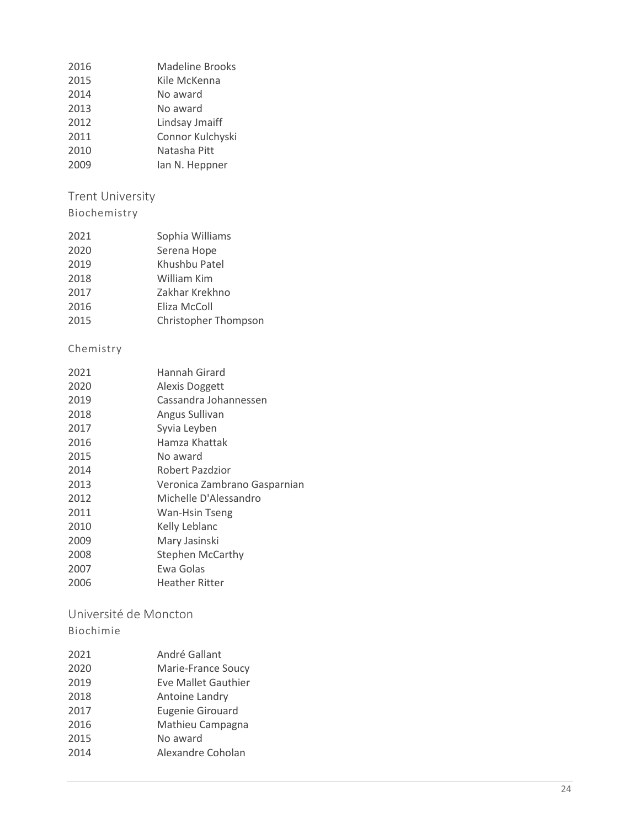| 2016 | Madeline Brooks  |
|------|------------------|
| 2015 | Kile McKenna     |
| 2014 | No award         |
| 2013 | No award         |
| 2012 | Lindsay Jmaiff   |
| 2011 | Connor Kulchyski |
| 2010 | Natasha Pitt     |
|      |                  |

2009 Ian N. Heppner

# <span id="page-23-0"></span>Trent University

## Biochemistry

| 2020<br>Serena Hope          |  |
|------------------------------|--|
| 2019<br>Khushbu Patel        |  |
| 2018<br>William Kim          |  |
| 2017<br>Zakhar Krekhno       |  |
| 2016<br>Eliza McColl         |  |
| 2015<br>Christopher Thompson |  |

## Chemistry

| 2021 | Hannah Girard                |
|------|------------------------------|
| 2020 | Alexis Doggett               |
| 2019 | Cassandra Johannessen        |
| 2018 | Angus Sullivan               |
| 2017 | Syvia Leyben                 |
| 2016 | Hamza Khattak                |
| 2015 | No award                     |
| 2014 | Robert Pazdzior              |
| 2013 | Veronica Zambrano Gasparnian |
| 2012 | Michelle D'Alessandro        |
| 2011 | Wan-Hsin Tseng               |
| 2010 | Kelly Leblanc                |
| 2009 | Mary Jasinski                |
| 2008 | <b>Stephen McCarthy</b>      |
| 2007 | Ewa Golas                    |
| 2006 | <b>Heather Ritter</b>        |
|      |                              |

#### <span id="page-23-1"></span>Université de Moncton Biochimie

| 2021 | André Gallant           |
|------|-------------------------|
| 2020 | Marie-France Soucy      |
| 2019 | Eve Mallet Gauthier     |
| 2018 | Antoine Landry          |
| 2017 | <b>Eugenie Girouard</b> |
| 2016 | Mathieu Campagna        |
| 2015 | No award                |
| 2014 | Alexandre Coholan       |
|      |                         |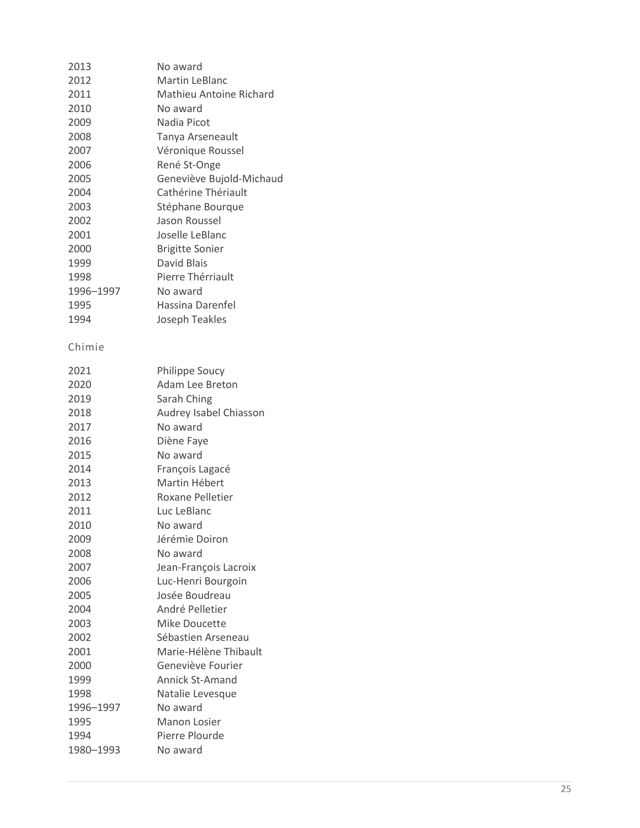| 2013      | No award                 |
|-----------|--------------------------|
| 2012      | <b>Martin LeBlanc</b>    |
| 2011      | Mathieu Antoine Richard  |
| 2010      | No award                 |
| 2009      | Nadia Picot              |
| 2008      | Tanya Arseneault         |
| 2007      | Véronique Roussel        |
| 2006      | René St-Onge             |
| 2005      | Geneviève Bujold-Michaud |
| 2004      | Cathérine Thériault      |
| 2003      | Stéphane Bourque         |
| 2002      | Jason Roussel            |
| 2001      | Joselle LeBlanc          |
| 2000      | <b>Brigitte Sonier</b>   |
| 1999      | David Blais              |
| 1998      | Pierre Thérriault        |
| 1996-1997 | No award                 |
| 1995      | <b>Hassina Darenfel</b>  |
| 1994      | Joseph Teakles           |
|           |                          |
| Chimie    |                          |
| 2021      | <b>Philippe Soucy</b>    |
| 2020      | Adam Lee Breton          |
| 2019      | Sarah Ching              |
| 2018      | Audrey Isabel Chiasson   |
| 2017      | No award                 |
| 2016      | Diène Faye               |
| 2015      | No award                 |
| 2014      | François Lagacé          |
| 2013      | Martin Hébert            |
| 2012      | <b>Roxane Pelletier</b>  |
| 2011      | Luc LeBlanc              |
| 2010      | No award                 |
| 2009      | Jérémie Doiron           |
| 2008      | No award                 |
| 2007      | Jean-François Lacroix    |
| 2006      | Luc-Henri Bourgoin       |
| 2005      | Josée Boudreau           |
| 2004      | André Pelletier          |
| 2003      | Mike Doucette            |
| 2002      | Sébastien Arseneau       |
| 2001      | Marie-Hélène Thibault    |
| 2000      | Geneviève Fourier        |
| 1999      | <b>Annick St-Amand</b>   |
| 1998      | Natalie Levesque         |
| 1996-1997 | No award                 |
| 1995      | Manon Losier             |
| 1994      | Pierre Plourde           |
| 1980-1993 | No award                 |
|           |                          |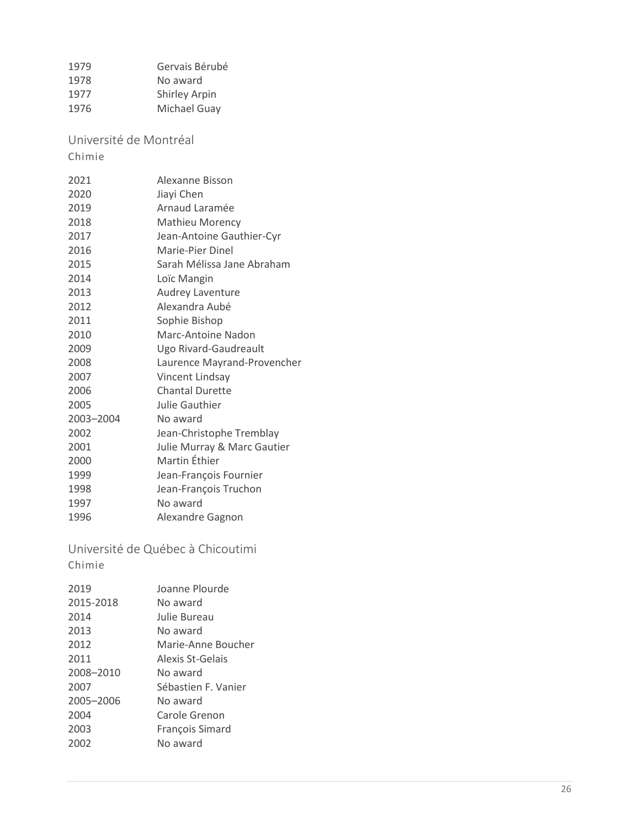| 1979 | Gervais Bérubé       |
|------|----------------------|
| 1978 | No award             |
| 1977 | <b>Shirley Arpin</b> |
| 1976 | Michael Guay         |

<span id="page-25-0"></span>Université de Montréal

Chimie

| 2021      | Alexanne Bisson             |
|-----------|-----------------------------|
| 2020      | Jiayi Chen                  |
| 2019      | Arnaud Laramée              |
| 2018      | <b>Mathieu Morency</b>      |
| 2017      | Jean-Antoine Gauthier-Cyr   |
| 2016      | Marie-Pier Dinel            |
| 2015      | Sarah Mélissa Jane Abraham  |
| 2014      | Loïc Mangin                 |
| 2013      | Audrey Laventure            |
| 2012      | Alexandra Aubé              |
| 2011      | Sophie Bishop               |
| 2010      | Marc-Antoine Nadon          |
| 2009      | Ugo Rivard-Gaudreault       |
| 2008      | Laurence Mayrand-Provencher |
| 2007      | Vincent Lindsay             |
| 2006      | <b>Chantal Durette</b>      |
| 2005      | Julie Gauthier              |
| 2003-2004 | No award                    |
| 2002      | Jean-Christophe Tremblay    |
| 2001      | Julie Murray & Marc Gautier |
| 2000      | Martin Éthier               |
| 1999      | Jean-François Fournier      |
| 1998      | Jean-François Truchon       |
| 1997      | No award                    |
| 1996      | Alexandre Gagnon            |

<span id="page-25-1"></span>Université de Québec à Chicoutimi Chimie

| Joanne Plourde      |
|---------------------|
| No award            |
| Julie Bureau        |
| No award            |
| Marie-Anne Boucher  |
| Alexis St-Gelais    |
| No award            |
| Sébastien F. Vanier |
| No award            |
| Carole Grenon       |
| François Simard     |
| No award            |
|                     |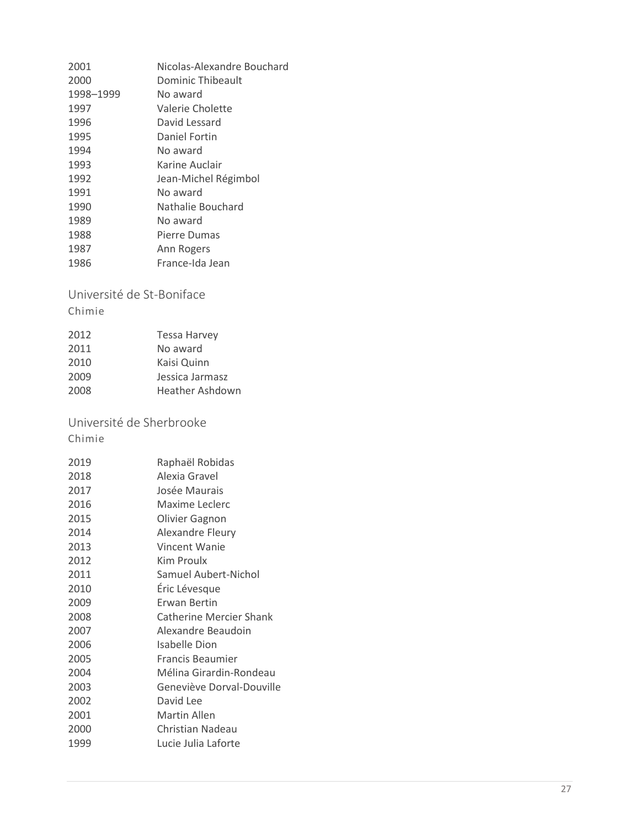| 2001      | Nicolas-Alexandre Bouchard |
|-----------|----------------------------|
| 2000      | Dominic Thibeault          |
| 1998-1999 | No award                   |
| 1997      | Valerie Cholette           |
| 1996      | David Lessard              |
| 1995      | Daniel Fortin              |
| 1994      | No award                   |
| 1993      | Karine Auclair             |
| 1992      | Jean-Michel Régimbol       |
| 1991      | No award                   |
| 1990      | Nathalie Bouchard          |
| 1989      | No award                   |
| 1988      | Pierre Dumas               |
| 1987      | Ann Rogers                 |
| 1986      | France-Ida Jean            |

#### <span id="page-26-0"></span>Université de St -Boniface

Chimie

| 2012 | <b>Tessa Harvey</b> |
|------|---------------------|
| 2011 | No award            |
| 2010 | Kaisi Quinn         |
| 2009 | Jessica Jarmasz     |
| 2008 | Heather Ashdown     |
|      |                     |

# <span id="page-26-1"></span>Université de Sherbrooke

Chimie

| 2019 | Raphaël Robidas                |
|------|--------------------------------|
| 2018 | Alexia Gravel                  |
| 2017 | Josée Maurais                  |
| 2016 | Maxime Leclerc                 |
| 2015 | Olivier Gagnon                 |
| 2014 | <b>Alexandre Fleury</b>        |
| 2013 | Vincent Wanie                  |
| 2012 | Kim Proulx                     |
| 2011 | Samuel Aubert-Nichol           |
| 2010 | Éric Lévesque                  |
| 2009 | Erwan Bertin                   |
| 2008 | <b>Catherine Mercier Shank</b> |
| 2007 | Alexandre Beaudoin             |
| 2006 | Isabelle Dion                  |
| 2005 | Francis Beaumier               |
| 2004 | Mélina Girardin-Rondeau        |
| 2003 | Geneviève Dorval-Douville      |
| 2002 | David Lee                      |
| 2001 | Martin Allen                   |
| 2000 | Christian Nadeau               |
| 1999 | Lucie Julia Laforte            |
|      |                                |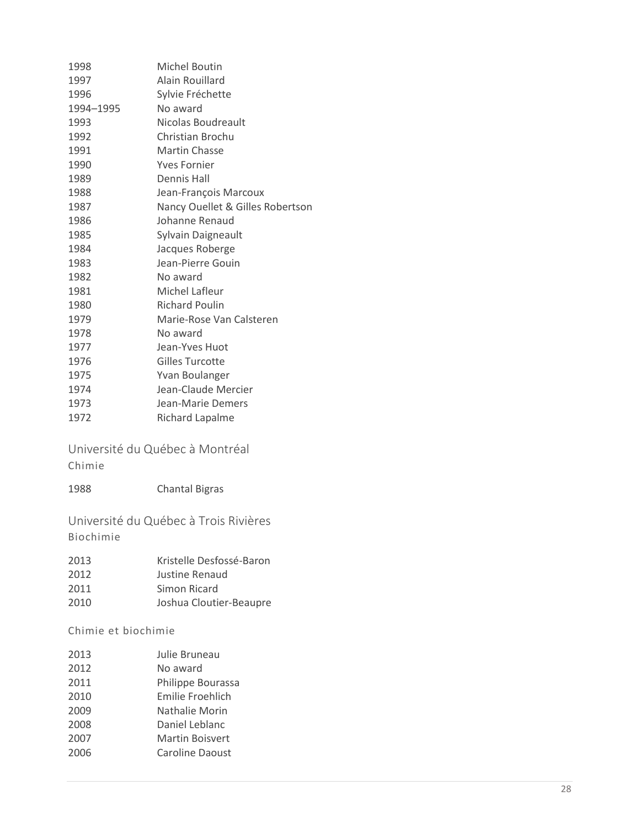| 1998      | Michel Boutin                    |
|-----------|----------------------------------|
| 1997      | Alain Rouillard                  |
| 1996      | Sylvie Fréchette                 |
| 1994-1995 | No award                         |
| 1993      | Nicolas Boudreault               |
| 1992      | Christian Brochu                 |
| 1991      | Martin Chasse                    |
| 1990      | <b>Yves Fornier</b>              |
| 1989      | <b>Dennis Hall</b>               |
| 1988      | Jean-François Marcoux            |
| 1987      | Nancy Ouellet & Gilles Robertson |
| 1986      | Johanne Renaud                   |
| 1985      | Sylvain Daigneault               |
| 1984      | Jacques Roberge                  |
| 1983      | Jean-Pierre Gouin                |
| 1982      | No award                         |
| 1981      | Michel Lafleur                   |
| 1980      | <b>Richard Poulin</b>            |
| 1979      | Marie-Rose Van Calsteren         |
| 1978      | No award                         |
| 1977      | Jean-Yves Huot                   |
| 1976      | Gilles Turcotte                  |
| 1975      | Yvan Boulanger                   |
| 1974      | Jean-Claude Mercier              |
| 1973      | Jean-Marie Demers                |
| 1972      | Richard Lapalme                  |
|           |                                  |

<span id="page-27-0"></span>Université du Québec à Montréal Chimie

| <b>Chantal Bigras</b> |
|-----------------------|
|                       |

<span id="page-27-1"></span>Université du Québec à Trois Rivières Biochimie

| 2013 | Kristelle Desfossé-Baron |
|------|--------------------------|
| 2012 | Justine Renaud           |
| 2011 | Simon Ricard             |
| 2010 | Joshua Cloutier-Beaupre  |

Chimie et biochimie

| 2013 | Julie Bruneau     |
|------|-------------------|
| 2012 | No award          |
| 2011 | Philippe Bourassa |
| 2010 | Emilie Froehlich  |
| 2009 | Nathalie Morin    |
| 2008 | Daniel Leblanc    |
| 2007 | Martin Boisvert   |
| 2006 | Caroline Daoust   |
|      |                   |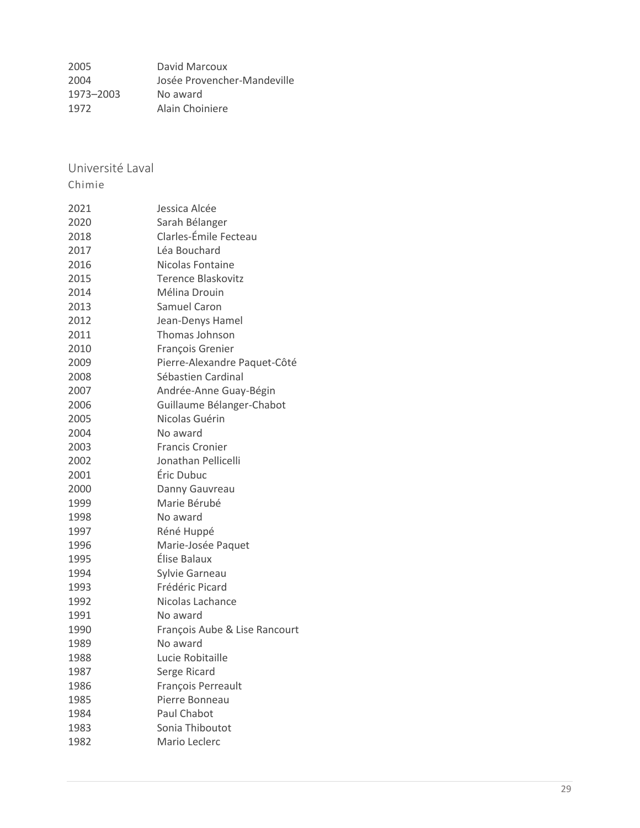<span id="page-28-0"></span>

| 2005      | David Marcoux               |
|-----------|-----------------------------|
| 2004      | Josée Provencher-Mandeville |
| 1973-2003 | No award                    |
| 1972      | Alain Choiniere             |

Université Laval

Chimie

| 2021 | Jessica Alcée                 |
|------|-------------------------------|
| 2020 | Sarah Bélanger                |
| 2018 | Clarles-Émile Fecteau         |
| 2017 | Léa Bouchard                  |
| 2016 | Nicolas Fontaine              |
| 2015 | <b>Terence Blaskovitz</b>     |
| 2014 | Mélina Drouin                 |
| 2013 | Samuel Caron                  |
| 2012 | Jean-Denys Hamel              |
| 2011 | Thomas Johnson                |
| 2010 | François Grenier              |
| 2009 | Pierre-Alexandre Paquet-Côté  |
| 2008 | Sébastien Cardinal            |
| 2007 | Andrée-Anne Guay-Bégin        |
| 2006 | Guillaume Bélanger-Chabot     |
| 2005 | Nicolas Guérin                |
| 2004 | No award                      |
| 2003 | <b>Francis Cronier</b>        |
| 2002 | Jonathan Pellicelli           |
| 2001 | Éric Dubuc                    |
| 2000 | Danny Gauvreau                |
| 1999 | Marie Bérubé                  |
| 1998 | No award                      |
| 1997 | Réné Huppé                    |
| 1996 | Marie-Josée Paquet            |
| 1995 | Élise Balaux                  |
| 1994 | Sylvie Garneau                |
| 1993 | Frédéric Picard               |
| 1992 | Nicolas Lachance              |
| 1991 | No award                      |
| 1990 | François Aube & Lise Rancourt |
| 1989 | No award                      |
| 1988 | Lucie Robitaille              |
| 1987 | Serge Ricard                  |
| 1986 | François Perreault            |
| 1985 | Pierre Bonneau                |
| 1984 | <b>Paul Chabot</b>            |
| 1983 | Sonia Thiboutot               |
| 1982 | Mario Leclerc                 |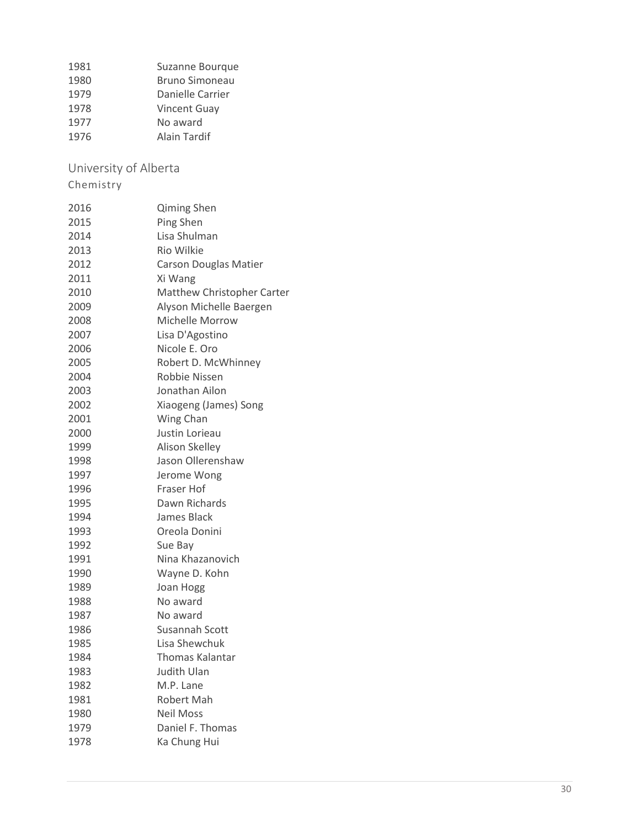1981 Suzanne Bourque<br>1980 Bruno Simoneau 1980 Bruno Simoneau<br>1979 Danielle Carrier Danielle Carrier Vincent Guay

- No award
- Alain Tardif

<span id="page-29-0"></span>University of Alberta

| 2016 | Qiming Shen                  |
|------|------------------------------|
| 2015 | Ping Shen                    |
| 2014 | Lisa Shulman                 |
| 2013 | <b>Rio Wilkie</b>            |
| 2012 | <b>Carson Douglas Matier</b> |
| 2011 | Xi Wang                      |
| 2010 | Matthew Christopher Carter   |
| 2009 | Alyson Michelle Baergen      |
| 2008 | <b>Michelle Morrow</b>       |
| 2007 | Lisa D'Agostino              |
| 2006 | Nicole E. Oro                |
| 2005 | Robert D. McWhinney          |
| 2004 | Robbie Nissen                |
| 2003 | Jonathan Ailon               |
| 2002 | Xiaogeng (James) Song        |
| 2001 | Wing Chan                    |
| 2000 | Justin Lorieau               |
| 1999 | Alison Skelley               |
| 1998 | Jason Ollerenshaw            |
| 1997 | Jerome Wong                  |
| 1996 | Fraser Hof                   |
| 1995 | Dawn Richards                |
| 1994 | James Black                  |
| 1993 | Oreola Donini                |
| 1992 | Sue Bay                      |
| 1991 | Nina Khazanovich             |
| 1990 | Wayne D. Kohn                |
| 1989 | Joan Hogg                    |
| 1988 | No award                     |
| 1987 | No award                     |
| 1986 | Susannah Scott               |
| 1985 | Lisa Shewchuk                |
| 1984 | <b>Thomas Kalantar</b>       |
| 1983 | Judith Ulan                  |
| 1982 | M.P. Lane                    |
| 1981 | Robert Mah                   |
| 1980 | <b>Neil Moss</b>             |
| 1979 | Daniel F. Thomas             |
| 1978 | Ka Chung Hui                 |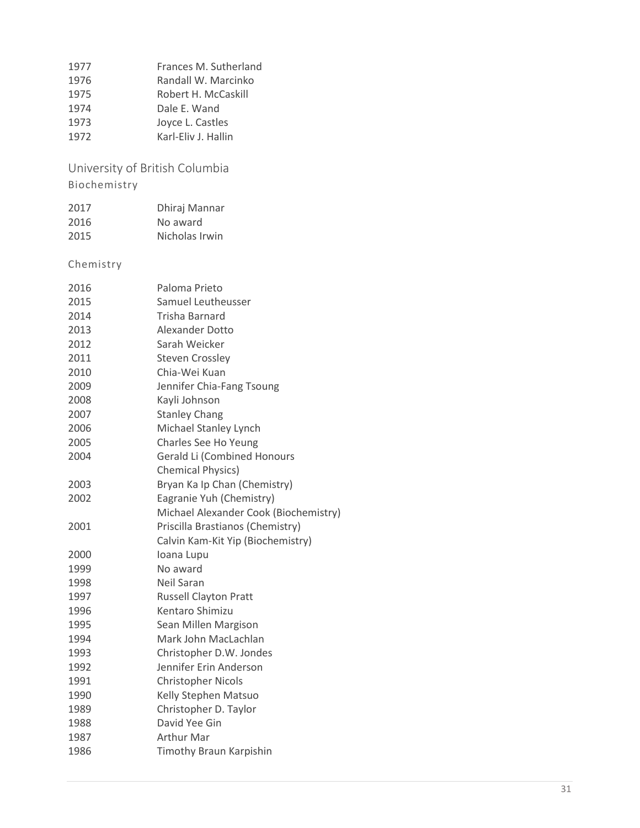| 1977 | Frances M. Sutherland |
|------|-----------------------|
| 1976 | Randall W. Marcinko   |
| 1975 | Robert H. McCaskill   |
| 1974 | Dale E. Wand          |
| 1973 | Joyce L. Castles      |
| 1972 | Karl-Eliv J. Hallin   |

<span id="page-30-0"></span>University of British Columbia Biochemistry

| 2017 | Dhiraj Mannar  |
|------|----------------|
| 2016 | No award       |
| 2015 | Nicholas Irwin |

| 2016 | Paloma Prieto                         |
|------|---------------------------------------|
| 2015 | Samuel Leutheusser                    |
| 2014 | Trisha Barnard                        |
| 2013 | <b>Alexander Dotto</b>                |
| 2012 | Sarah Weicker                         |
| 2011 | <b>Steven Crossley</b>                |
| 2010 | Chia-Wei Kuan                         |
| 2009 | Jennifer Chia-Fang Tsoung             |
| 2008 | Kayli Johnson                         |
| 2007 | <b>Stanley Chang</b>                  |
| 2006 | Michael Stanley Lynch                 |
| 2005 | Charles See Ho Yeung                  |
| 2004 | <b>Gerald Li (Combined Honours</b>    |
|      | <b>Chemical Physics)</b>              |
| 2003 | Bryan Ka Ip Chan (Chemistry)          |
| 2002 | Eagranie Yuh (Chemistry)              |
|      | Michael Alexander Cook (Biochemistry) |
| 2001 | Priscilla Brastianos (Chemistry)      |
|      | Calvin Kam-Kit Yip (Biochemistry)     |
| 2000 | Ioana Lupu                            |
| 1999 | No award                              |
| 1998 | Neil Saran                            |
| 1997 | <b>Russell Clayton Pratt</b>          |
| 1996 | Kentaro Shimizu                       |
| 1995 | Sean Millen Margison                  |
| 1994 | Mark John MacLachlan                  |
| 1993 | Christopher D.W. Jondes               |
| 1992 | Jennifer Erin Anderson                |
| 1991 | <b>Christopher Nicols</b>             |
| 1990 | Kelly Stephen Matsuo                  |
| 1989 | Christopher D. Taylor                 |
| 1988 | David Yee Gin                         |
| 1987 | <b>Arthur Mar</b>                     |
| 1986 |                                       |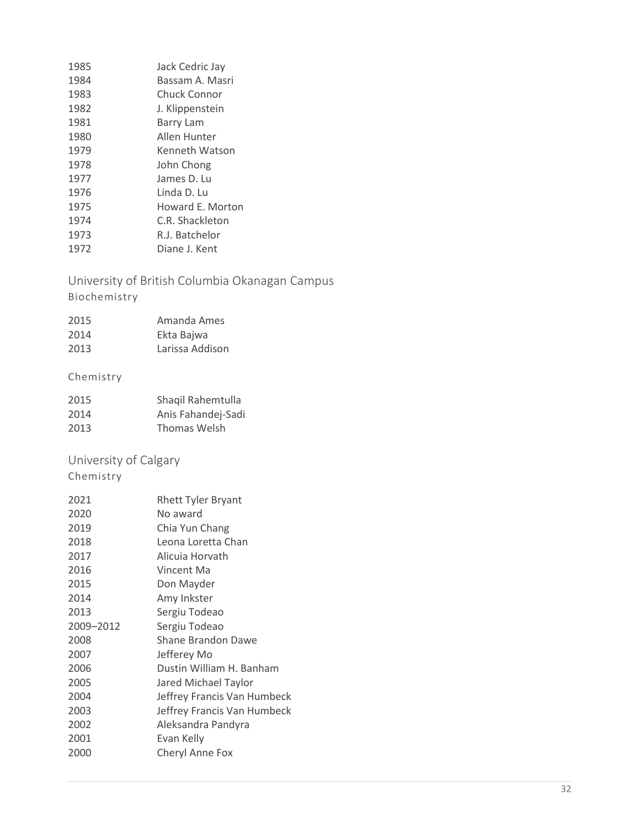| 1985 | Jack Cedric Jay  |
|------|------------------|
| 1984 | Bassam A. Masri  |
| 1983 | Chuck Connor     |
| 1982 | J. Klippenstein  |
| 1981 | Barry Lam        |
| 1980 | Allen Hunter     |
| 1979 | Kenneth Watson   |
| 1978 | John Chong       |
| 1977 | James D. Lu      |
| 1976 | Linda D. Lu      |
| 1975 | Howard E. Morton |
| 1974 | C.R. Shackleton  |
| 1973 | R.J. Batchelor   |
| 1972 | Diane J. Kent    |

<span id="page-31-0"></span>University of British Columbia Okanagan Campus

### Biochemistry

| 2015 | Amanda Ames     |
|------|-----------------|
| 2014 | Ekta Bajwa      |
| 2013 | Larissa Addison |

### Chemistry

| 2015 | Shaqil Rahemtulla  |
|------|--------------------|
| 2014 | Anis Fahandej-Sadi |
| 2013 | Thomas Welsh       |

# <span id="page-31-1"></span>University of Calgary

| 2021      | Rhett Tyler Bryant          |
|-----------|-----------------------------|
| 2020      | No award                    |
| 2019      | Chia Yun Chang              |
| 2018      | Leona Loretta Chan          |
| 2017      | Alicuia Horvath             |
| 2016      | Vincent Ma                  |
| 2015      | Don Mayder                  |
| 2014      | Amy Inkster                 |
| 2013      | Sergiu Todeao               |
| 2009-2012 | Sergiu Todeao               |
| 2008      | Shane Brandon Dawe          |
| 2007      | Jefferey Mo                 |
| 2006      | Dustin William H. Banham    |
| 2005      | Jared Michael Taylor        |
| 2004      | Jeffrey Francis Van Humbeck |
| 2003      | Jeffrey Francis Van Humbeck |
| 2002      | Aleksandra Pandyra          |
| 2001      | Evan Kelly                  |
| 2000      | Cheryl Anne Fox             |
|           |                             |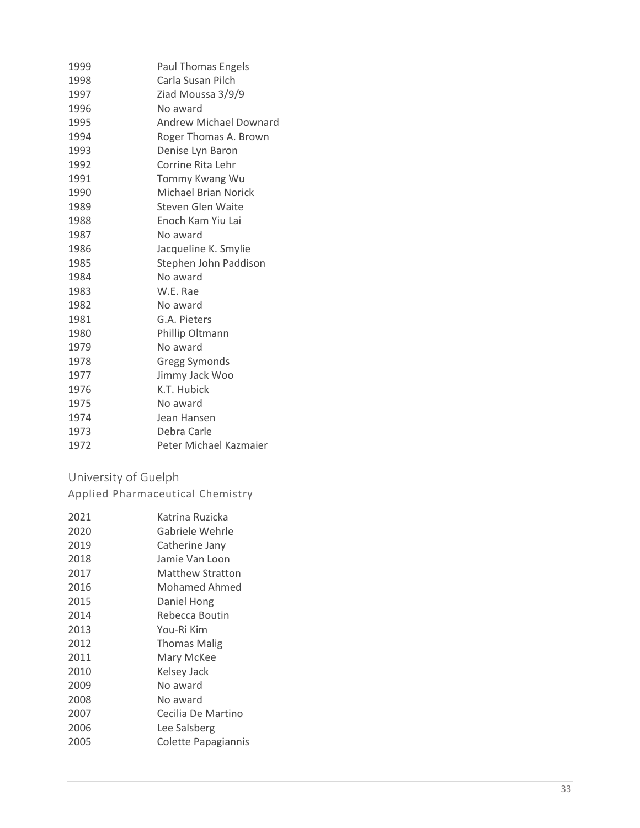| 1999 | <b>Paul Thomas Engels</b>     |
|------|-------------------------------|
| 1998 | Carla Susan Pilch             |
| 1997 | Ziad Moussa 3/9/9             |
| 1996 | No award                      |
| 1995 | <b>Andrew Michael Downard</b> |
| 1994 | Roger Thomas A. Brown         |
| 1993 | Denise Lyn Baron              |
| 1992 | Corrine Rita Lehr             |
| 1991 | Tommy Kwang Wu                |
| 1990 | Michael Brian Norick          |
| 1989 | Steven Glen Waite             |
| 1988 | Enoch Kam Yiu Lai             |
| 1987 | No award                      |
| 1986 | Jacqueline K. Smylie          |
| 1985 | Stephen John Paddison         |
| 1984 | No award                      |
| 1983 | W.E. Rae                      |
| 1982 | No award                      |
| 1981 | G.A. Pieters                  |
| 1980 | Phillip Oltmann               |
| 1979 | No award                      |
| 1978 | <b>Gregg Symonds</b>          |
| 1977 | Jimmy Jack Woo                |
| 1976 | K.T. Hubick                   |
| 1975 | No award                      |
| 1974 | Jean Hansen                   |
| 1973 | Debra Carle                   |
| 1972 | Peter Michael Kazmaier        |

#### <span id="page-32-0"></span>University of Guelph

Applied Pharmaceutical Chemistry

| 2020<br>Gabriele Wehrle<br>2019<br>Catherine Jany<br>2018<br>Jamie Van Loon<br>2017<br>Matthew Stratton<br>2016<br>Mohamed Ahmed<br>2015<br>Daniel Hong<br>2014<br>Rebecca Boutin<br>2013<br>You-Ri Kim<br>2012<br><b>Thomas Malig</b><br>2011<br>Mary McKee<br>2010<br>Kelsey Jack<br>2009<br>No award<br>2008<br>No award<br>2007<br>Cecilia De Martino<br>2006<br>Lee Salsberg<br>2005<br>Colette Papagiannis | 2021 | Katrina Ruzicka |
|------------------------------------------------------------------------------------------------------------------------------------------------------------------------------------------------------------------------------------------------------------------------------------------------------------------------------------------------------------------------------------------------------------------|------|-----------------|
|                                                                                                                                                                                                                                                                                                                                                                                                                  |      |                 |
|                                                                                                                                                                                                                                                                                                                                                                                                                  |      |                 |
|                                                                                                                                                                                                                                                                                                                                                                                                                  |      |                 |
|                                                                                                                                                                                                                                                                                                                                                                                                                  |      |                 |
|                                                                                                                                                                                                                                                                                                                                                                                                                  |      |                 |
|                                                                                                                                                                                                                                                                                                                                                                                                                  |      |                 |
|                                                                                                                                                                                                                                                                                                                                                                                                                  |      |                 |
|                                                                                                                                                                                                                                                                                                                                                                                                                  |      |                 |
|                                                                                                                                                                                                                                                                                                                                                                                                                  |      |                 |
|                                                                                                                                                                                                                                                                                                                                                                                                                  |      |                 |
|                                                                                                                                                                                                                                                                                                                                                                                                                  |      |                 |
|                                                                                                                                                                                                                                                                                                                                                                                                                  |      |                 |
|                                                                                                                                                                                                                                                                                                                                                                                                                  |      |                 |
|                                                                                                                                                                                                                                                                                                                                                                                                                  |      |                 |
|                                                                                                                                                                                                                                                                                                                                                                                                                  |      |                 |
|                                                                                                                                                                                                                                                                                                                                                                                                                  |      |                 |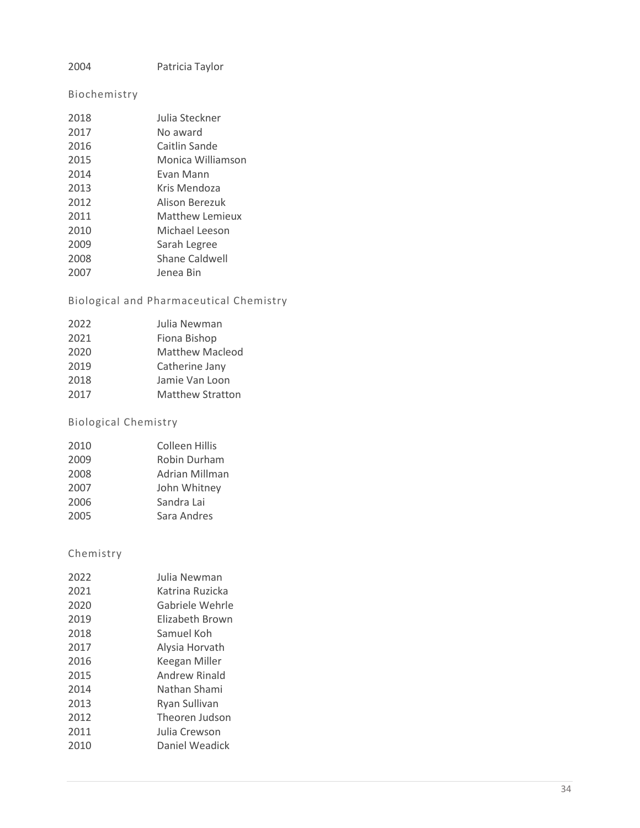#### Patricia Taylor

#### Biochemistry

| 2018 | Julia Steckner         |
|------|------------------------|
| 2017 | No award               |
| 2016 | Caitlin Sande          |
| 2015 | Monica Williamson      |
| 2014 | Evan Mann              |
| 2013 | Kris Mendoza           |
| 2012 | Alison Berezuk         |
| 2011 | <b>Matthew Lemieux</b> |
| 2010 | Michael Leeson         |
| 2009 | Sarah Legree           |
| 2008 | Shane Caldwell         |
| 2007 | Jenea Bin              |

#### Biological and Pharmaceutical Chemistry

| 2022 | Julia Newman            |
|------|-------------------------|
| 2021 | Fiona Bishop            |
| 2020 | <b>Matthew Macleod</b>  |
| 2019 | Catherine Jany          |
| 2018 | Jamie Van Loon          |
| 2017 | <b>Matthew Stratton</b> |
|      |                         |

#### Biological Chemistry

| 2010 | Colleen Hillis |
|------|----------------|
| 2009 | Robin Durham   |
| 2008 | Adrian Millman |
| 2007 | John Whitney   |
| 2006 | Sandra Lai     |
| 2005 | Sara Andres    |

| 2022 | Julia Newman    |
|------|-----------------|
| 2021 | Katrina Ruzicka |
| 2020 | Gabriele Wehrle |
| 2019 | Elizabeth Brown |
| 2018 | Samuel Koh      |
| 2017 | Alysia Horvath  |
| 2016 | Keegan Miller   |
| 2015 | Andrew Rinald   |
| 2014 | Nathan Shami    |
| 2013 | Ryan Sullivan   |
| 2012 | Theoren Judson  |
| 2011 | Julia Crewson   |
| 2010 | Daniel Weadick  |
|      |                 |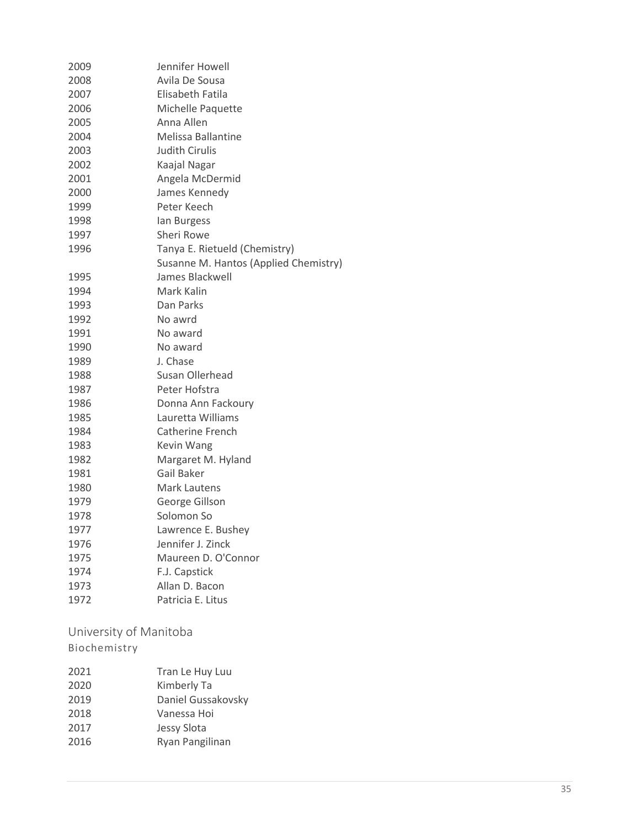| 2009 | Jennifer Howell                       |
|------|---------------------------------------|
| 2008 | Avila De Sousa                        |
| 2007 | Elisabeth Fatila                      |
| 2006 | Michelle Paquette                     |
| 2005 | Anna Allen                            |
| 2004 | Melissa Ballantine                    |
| 2003 | <b>Judith Cirulis</b>                 |
| 2002 | Kaajal Nagar                          |
| 2001 | Angela McDermid                       |
| 2000 | James Kennedy                         |
| 1999 | Peter Keech                           |
| 1998 | lan Burgess                           |
| 1997 | <b>Sheri Rowe</b>                     |
| 1996 | Tanya E. Rietueld (Chemistry)         |
|      | Susanne M. Hantos (Applied Chemistry) |
| 1995 | James Blackwell                       |
| 1994 | Mark Kalin                            |
| 1993 | Dan Parks                             |
| 1992 | No awrd                               |
| 1991 | No award                              |
| 1990 | No award                              |
| 1989 | J. Chase                              |
| 1988 | Susan Ollerhead                       |
| 1987 | Peter Hofstra                         |
| 1986 | Donna Ann Fackoury                    |
| 1985 | Lauretta Williams                     |
| 1984 | Catherine French                      |
| 1983 | Kevin Wang                            |
| 1982 | Margaret M. Hyland                    |
| 1981 | Gail Baker                            |
| 1980 | <b>Mark Lautens</b>                   |
| 1979 | George Gillson                        |
| 1978 | Solomon So                            |
| 1977 | Lawrence E. Bushey                    |
| 1976 | Jennifer J. Zinck                     |
| 1975 | Maureen D. O'Connor                   |
| 1974 | F.J. Capstick                         |
| 1973 | Allan D. Bacon                        |
| 1972 | Patricia E. Litus                     |
|      |                                       |

<span id="page-34-0"></span>University of Manitoba

| 2021 | Tran Le Huy Luu    |
|------|--------------------|
| 2020 | Kimberly Ta        |
| 2019 | Daniel Gussakovsky |
| 2018 | Vanessa Hoi        |
| 2017 | Jessy Slota        |
| 2016 | Ryan Pangilinan    |
|      |                    |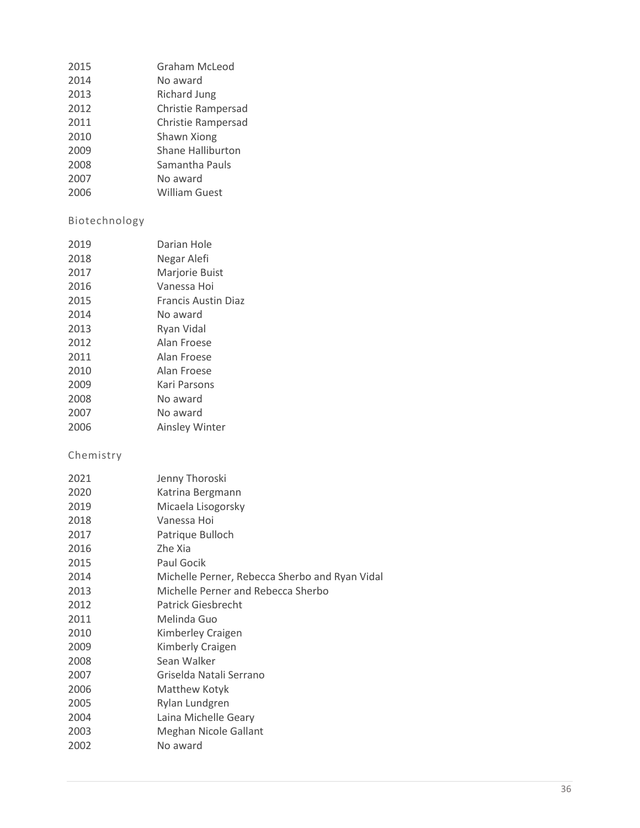| 2015 | Graham McLeod             |
|------|---------------------------|
| 2014 | No award                  |
| 2013 | Richard Jung              |
| 2012 | <b>Christie Rampersad</b> |
| 2011 | Christie Rampersad        |
| 2010 | Shawn Xiong               |
| 2009 | <b>Shane Halliburton</b>  |
| 2008 | Samantha Pauls            |
| 2007 | No award                  |
| 2006 | <b>William Guest</b>      |

#### Biotechnology

| 2019 | Darian Hole                |
|------|----------------------------|
| 2018 | Negar Alefi                |
| 2017 | Marjorie Buist             |
| 2016 | Vanessa Hoi                |
| 2015 | <b>Francis Austin Diaz</b> |
| 2014 | No award                   |
| 2013 | Ryan Vidal                 |
| 2012 | Alan Froese                |
| 2011 | Alan Froese                |
| 2010 | Alan Froese                |
| 2009 | Kari Parsons               |
| 2008 | No award                   |
| 2007 | No award                   |
| 2006 | Ainsley Winter             |

| 2021 | Jenny Thoroski                                 |
|------|------------------------------------------------|
| 2020 | Katrina Bergmann                               |
| 2019 | Micaela Lisogorsky                             |
| 2018 | Vanessa Hoi                                    |
| 2017 | Patrique Bulloch                               |
| 2016 | Zhe Xia                                        |
| 2015 | Paul Gocik                                     |
| 2014 | Michelle Perner, Rebecca Sherbo and Ryan Vidal |
| 2013 | Michelle Perner and Rebecca Sherbo             |
| 2012 | Patrick Giesbrecht                             |
| 2011 | Melinda Guo                                    |
| 2010 | Kimberley Craigen                              |
| 2009 | Kimberly Craigen                               |
| 2008 | Sean Walker                                    |
| 2007 | Griselda Natali Serrano                        |
| 2006 | Matthew Kotyk                                  |
| 2005 | Rylan Lundgren                                 |
| 2004 | Laina Michelle Geary                           |
| 2003 | Meghan Nicole Gallant                          |
| 2002 | No award                                       |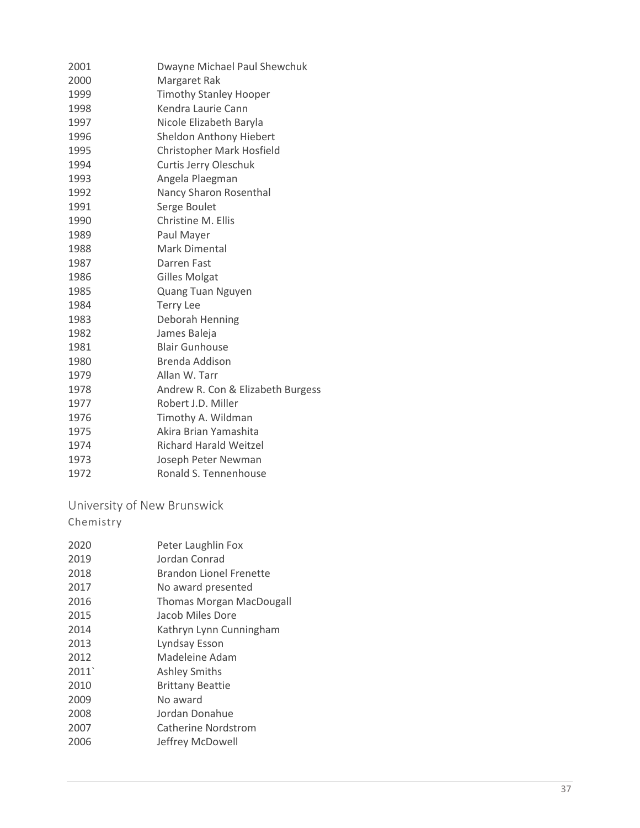| 2001 | Dwayne Michael Paul Shewchuk      |
|------|-----------------------------------|
| 2000 | Margaret Rak                      |
| 1999 | <b>Timothy Stanley Hooper</b>     |
| 1998 | Kendra Laurie Cann                |
| 1997 | Nicole Elizabeth Baryla           |
| 1996 | Sheldon Anthony Hiebert           |
| 1995 | Christopher Mark Hosfield         |
| 1994 | Curtis Jerry Oleschuk             |
| 1993 | Angela Plaegman                   |
| 1992 | Nancy Sharon Rosenthal            |
| 1991 | Serge Boulet                      |
| 1990 | Christine M. Ellis                |
| 1989 | Paul Mayer                        |
| 1988 | Mark Dimental                     |
| 1987 | Darren Fast                       |
| 1986 | <b>Gilles Molgat</b>              |
| 1985 | Quang Tuan Nguyen                 |
| 1984 | <b>Terry Lee</b>                  |
| 1983 | Deborah Henning                   |
| 1982 | James Baleja                      |
| 1981 | <b>Blair Gunhouse</b>             |
| 1980 | Brenda Addison                    |
| 1979 | Allan W. Tarr                     |
| 1978 | Andrew R. Con & Elizabeth Burgess |
| 1977 | Robert J.D. Miller                |
| 1976 | Timothy A. Wildman                |
| 1975 | Akira Brian Yamashita             |
| 1974 | <b>Richard Harald Weitzel</b>     |
| 1973 | Joseph Peter Newman               |
| 1972 | Ronald S. Tennenhouse             |

<span id="page-36-0"></span>University of New Brunswick Chemistry

 Peter Laughlin Fox Jordan Conrad Brandon Lionel Frenette No award presented Thomas Morgan MacDougall Jacob Miles Dor e 2014 Kathryn Lynn Cunningham<br>2013 Lyndsay Esson Lyndsay Esson Madeleine Adam 2011` Ashley Smith s Brittany Beattie No award Jordan Donahue Catherine Nordstrom Jeffrey McDowell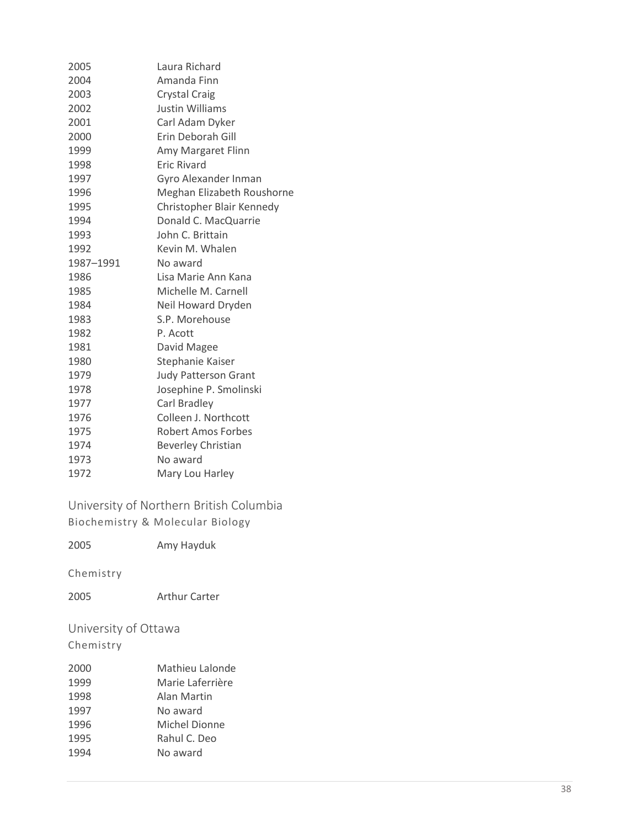| 2005      | Laura Richard               |
|-----------|-----------------------------|
| 2004      | Amanda Finn                 |
| 2003      | <b>Crystal Craig</b>        |
| 2002      | <b>Justin Williams</b>      |
| 2001      | Carl Adam Dyker             |
| 2000      | Erin Deborah Gill           |
| 1999      | Amy Margaret Flinn          |
| 1998      | <b>Eric Rivard</b>          |
| 1997      | Gyro Alexander Inman        |
| 1996      | Meghan Elizabeth Roushorne  |
| 1995      | Christopher Blair Kennedy   |
| 1994      | Donald C. MacQuarrie        |
| 1993      | John C. Brittain            |
| 1992      | Kevin M. Whalen             |
| 1987-1991 | No award                    |
| 1986      | Lisa Marie Ann Kana         |
| 1985      | Michelle M. Carnell         |
| 1984      | Neil Howard Dryden          |
| 1983      | S.P. Morehouse              |
| 1982      | P. Acott                    |
| 1981      | David Magee                 |
| 1980      | Stephanie Kaiser            |
| 1979      | <b>Judy Patterson Grant</b> |
| 1978      | Josephine P. Smolinski      |
| 1977      | Carl Bradley                |
| 1976      | Colleen J. Northcott        |
| 1975      | Robert Amos Forbes          |
| 1974      | <b>Beverley Christian</b>   |
| 1973      | No award                    |
| 1972      | Mary Lou Harley             |
|           |                             |

<span id="page-37-0"></span>University of Northern British Columbia Biochemistry & Molecular Biology

Amy Hayduk

Chemistry

Arthur Carter

<span id="page-37-1"></span>University of Ottawa Chemistry

| 2000 | Mathieu Lalonde  |
|------|------------------|
| 1999 | Marie Laferrière |
| 1998 | Alan Martin      |
| 1997 | No award         |
| 1996 | Michel Dionne    |
| 1995 | Rahul C. Deo     |
| 1994 | No award         |
|      |                  |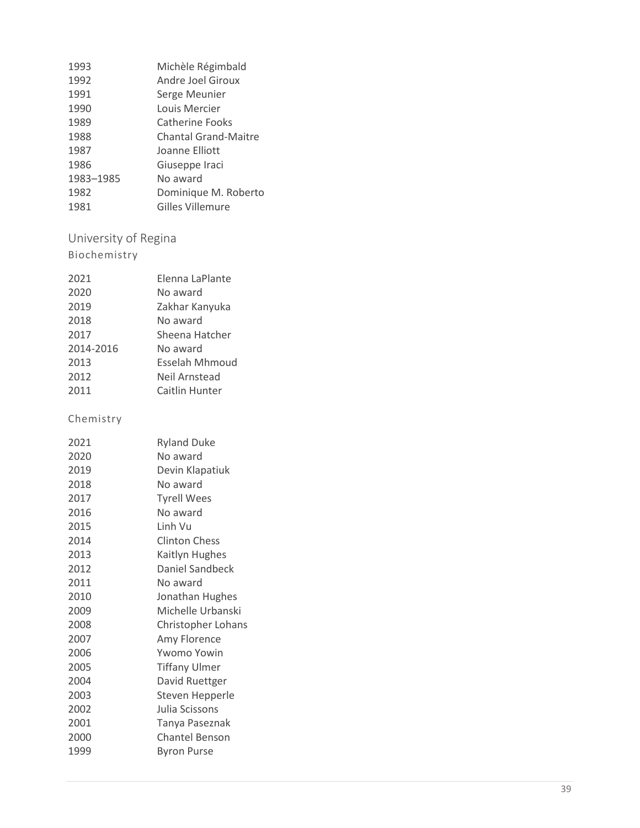| 1993      | Michèle Régimbald           |
|-----------|-----------------------------|
| 1992      | Andre Joel Giroux           |
| 1991      | Serge Meunier               |
| 1990      | Louis Mercier               |
| 1989      | Catherine Fooks             |
| 1988      | <b>Chantal Grand-Maitre</b> |
| 1987      | Joanne Elliott              |
| 1986      | Giuseppe Iraci              |
| 1983-1985 | No award                    |
| 1982      | Dominique M. Roberto        |
| 1981      | <b>Gilles Villemure</b>     |
|           |                             |

# <span id="page-38-0"></span>University of Regina

## Biochemistry

| 2021      | Elenna LaPlante |
|-----------|-----------------|
| 2020      | No award        |
| 2019      | Zakhar Kanyuka  |
| 2018      | No award        |
| 2017      | Sheena Hatcher  |
| 2014-2016 | No award        |
| 2013      | Esselah Mhmoud  |
| 2012      | Neil Arnstead   |
| 2011      | Caitlin Hunter  |

| 2021 | <b>Ryland Duke</b>    |
|------|-----------------------|
| 2020 | No award              |
| 2019 | Devin Klapatiuk       |
| 2018 | No award              |
| 2017 | <b>Tyrell Wees</b>    |
| 2016 | No award              |
| 2015 | Linh Vu               |
| 2014 | <b>Clinton Chess</b>  |
| 2013 | Kaitlyn Hughes        |
| 2012 | Daniel Sandbeck       |
| 2011 | No award              |
| 2010 | Jonathan Hughes       |
| 2009 | Michelle Urbanski     |
| 2008 | Christopher Lohans    |
| 2007 | Amy Florence          |
| 2006 | Ywomo Yowin           |
| 2005 | <b>Tiffany Ulmer</b>  |
| 2004 | David Ruettger        |
| 2003 | Steven Hepperle       |
| 2002 | Julia Scissons        |
| 2001 | Tanya Paseznak        |
| 2000 | <b>Chantel Benson</b> |
| 1999 | Byron Purse           |
|      |                       |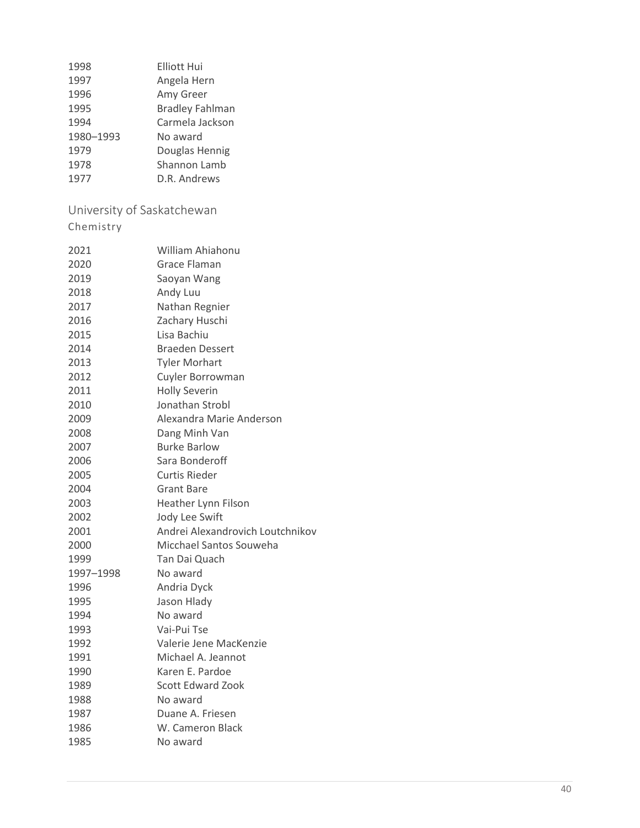<span id="page-39-0"></span>

| 1998                       | <b>Elliott Hui</b>               |
|----------------------------|----------------------------------|
| 1997                       | Angela Hern                      |
| 1996                       | Amy Greer                        |
| 1995                       | <b>Bradley Fahlman</b>           |
| 1994                       | Carmela Jackson                  |
| 1980-1993                  | No award                         |
| 1979                       | Douglas Hennig                   |
| 1978                       | Shannon Lamb                     |
| 1977                       | D.R. Andrews                     |
| University of Saskatchewan |                                  |
| Chemistry                  |                                  |
| 2021                       | William Ahiahonu                 |
| 2020                       | Grace Flaman                     |
| 2019                       | Saoyan Wang                      |
| 2018                       | Andy Luu                         |
| 2017                       | Nathan Regnier                   |
| 2016                       | Zachary Huschi                   |
| 2015                       | Lisa Bachiu                      |
| 2014                       | <b>Braeden Dessert</b>           |
| 2013                       | <b>Tyler Morhart</b>             |
| 2012                       | Cuyler Borrowman                 |
| 2011                       | <b>Holly Severin</b>             |
| 2010                       | Jonathan Strobl                  |
| 2009                       | Alexandra Marie Anderson         |
| 2008                       | Dang Minh Van                    |
| 2007                       | <b>Burke Barlow</b>              |
| 2006                       | Sara Bonderoff                   |
| 2005                       | <b>Curtis Rieder</b>             |
| 2004                       | <b>Grant Bare</b>                |
| 2003                       | Heather Lynn Filson              |
| 2002                       | Jody Lee Swift                   |
| 2001                       | Andrei Alexandrovich Loutchnikov |
| 2000                       | Micchael Santos Souweha          |
| 1999                       | Tan Dai Quach                    |
| 1997-1998                  | No award                         |
| 1996                       | Andria Dyck                      |
| 1995                       | Jason Hlady                      |
| 1994                       | No award                         |
| 1993                       | Vai-Pui Tse                      |
| 1992                       | Valerie Jene MacKenzie           |
| 1991                       | Michael A. Jeannot               |
| 1990                       | Karen E. Pardoe                  |
| 1989                       | <b>Scott Edward Zook</b>         |
| 1988                       | No award                         |
| 1987                       | Duane A. Friesen                 |
| 1986                       | W. Cameron Black                 |
| 1985                       | No award                         |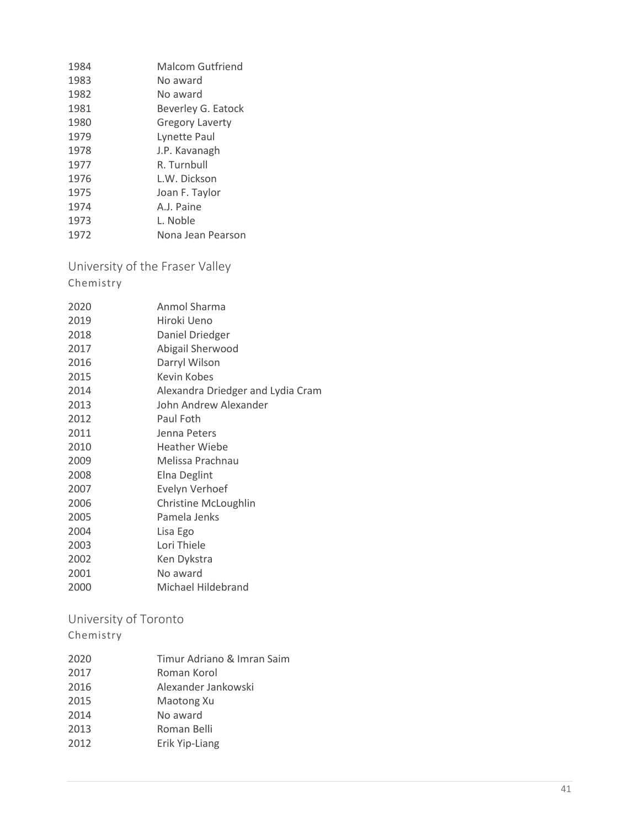| 1984 | <b>Malcom Gutfriend</b> |
|------|-------------------------|
| 1983 | No award                |
| 1982 | No award                |
| 1981 | Beverley G. Eatock      |
| 1980 | <b>Gregory Laverty</b>  |
| 1979 | Lynette Paul            |
| 1978 | J.P. Kavanagh           |
| 1977 | R. Turnbull             |
| 1976 | L.W. Dickson            |
| 1975 | Joan F. Taylor          |
| 1974 | A.J. Paine              |
| 1973 | L. Noble                |
| 1972 | Nona Jean Pearson       |

<span id="page-40-0"></span>University of the Fraser Valley

Chemistry

| 2020 | Anmol Sharma                      |
|------|-----------------------------------|
| 2019 | Hiroki Ueno                       |
| 2018 | Daniel Driedger                   |
| 2017 | Abigail Sherwood                  |
| 2016 | Darryl Wilson                     |
| 2015 | Kevin Kobes                       |
| 2014 | Alexandra Driedger and Lydia Cram |
| 2013 | John Andrew Alexander             |
| 2012 | Paul Foth                         |
| 2011 | Jenna Peters                      |
| 2010 | <b>Heather Wiebe</b>              |
| 2009 | Melissa Prachnau                  |
| 2008 | Elna Deglint                      |
| 2007 | Evelyn Verhoef                    |
| 2006 | Christine McLoughlin              |
| 2005 | Pamela Jenks                      |
| 2004 | Lisa Ego                          |
| 2003 | Lori Thiele                       |
| 2002 | Ken Dykstra                       |
| 2001 | No award                          |
| 2000 | Michael Hildebrand                |

<span id="page-40-1"></span>University of Toronto

| 2020 | Timur Adriano & Imran Saim |
|------|----------------------------|
| 2017 | Roman Korol                |
| 2016 | Alexander Jankowski        |
| 2015 | Maotong Xu                 |
| 2014 | No award                   |
| 2013 | Roman Belli                |
| 2012 | Erik Yip-Liang             |
|      |                            |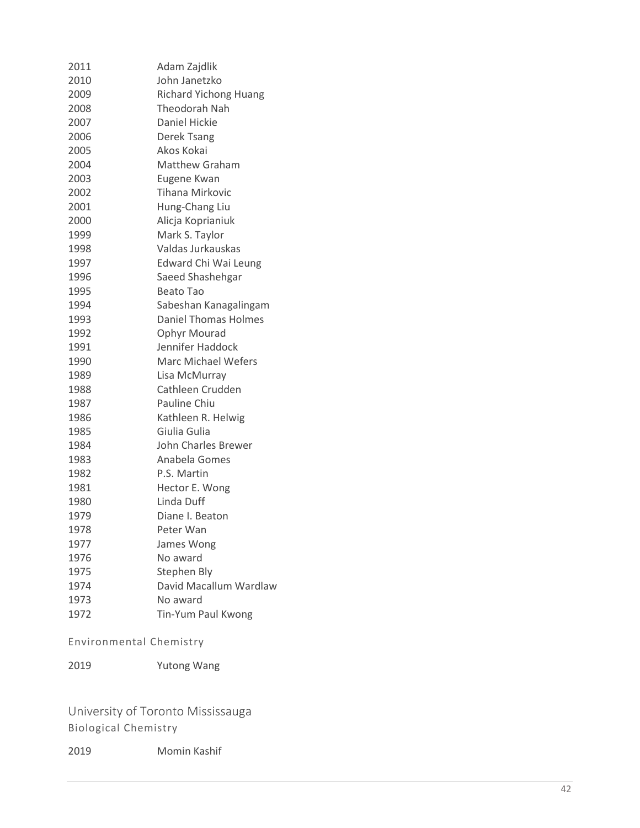| 2011 | Adam Zajdlik                 |
|------|------------------------------|
| 2010 | John Janetzko                |
| 2009 | <b>Richard Yichong Huang</b> |
| 2008 | Theodorah Nah                |
| 2007 | <b>Daniel Hickie</b>         |
| 2006 | Derek Tsang                  |
| 2005 | Akos Kokai                   |
| 2004 | Matthew Graham               |
| 2003 | Eugene Kwan                  |
| 2002 | <b>Tihana Mirkovic</b>       |
| 2001 | Hung-Chang Liu               |
| 2000 | Alicja Koprianiuk            |
| 1999 | Mark S. Taylor               |
| 1998 | Valdas Jurkauskas            |
| 1997 | Edward Chi Wai Leung         |
| 1996 | Saeed Shashehgar             |
| 1995 | <b>Beato Tao</b>             |
| 1994 | Sabeshan Kanagalingam        |
| 1993 | <b>Daniel Thomas Holmes</b>  |
| 1992 | Ophyr Mourad                 |
| 1991 | Jennifer Haddock             |
| 1990 | <b>Marc Michael Wefers</b>   |
| 1989 | Lisa McMurray                |
| 1988 | Cathleen Crudden             |
| 1987 | Pauline Chiu                 |
| 1986 | Kathleen R. Helwig           |
| 1985 | Giulia Gulia                 |
| 1984 | John Charles Brewer          |
| 1983 | Anabela Gomes                |
| 1982 | P.S. Martin                  |
| 1981 | Hector E. Wong               |
| 1980 | Linda Duff                   |
| 1979 | Diane I. Beaton              |
| 1978 | Peter Wan                    |
| 1977 | James Wong                   |
| 1976 | No award                     |
| 1975 | Stephen Bly                  |
| 1974 | David Macallum Wardlaw       |
| 1973 | No award                     |
| 1972 | Tin-Yum Paul Kwong           |

Environmental Chemistry

Yutong Wang

<span id="page-41-0"></span>University of Toronto Mississauga Biological Chemistry

Momin Kashif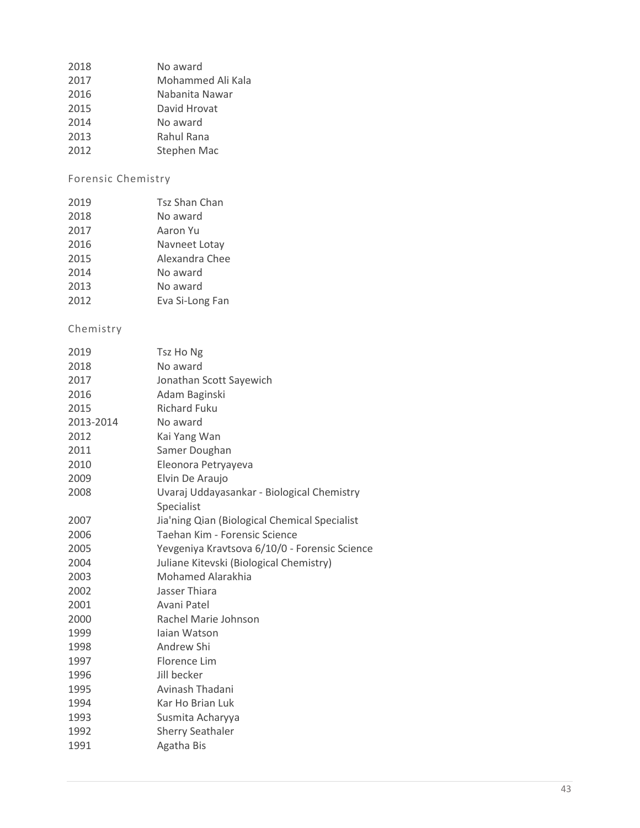| 2017<br>2016<br>Nabanita Nawar<br>2015<br>David Hrovat<br>2014 | 2018 | No award          |
|----------------------------------------------------------------|------|-------------------|
|                                                                |      | Mohammed Ali Kala |
|                                                                |      |                   |
|                                                                |      |                   |
|                                                                |      | No award          |

- 2013 Rahul Rana<br>2012 Stephen Ma
- Stephen Mac

#### Forensic Chemistry

| 2019 | <b>Tsz Shan Chan</b> |
|------|----------------------|
| 2018 | No award             |
| 2017 | Aaron Yu             |
| 2016 | Navneet Lotay        |
| 2015 | Alexandra Chee       |
| 2014 | No award             |
| 2013 | No award             |
| 2012 | Eva Si-Long Fan      |

| 2019      | Tsz Ho Ng                                     |
|-----------|-----------------------------------------------|
| 2018      | No award                                      |
| 2017      | Jonathan Scott Sayewich                       |
| 2016      | Adam Baginski                                 |
| 2015      | <b>Richard Fuku</b>                           |
| 2013-2014 | No award                                      |
| 2012      | Kai Yang Wan                                  |
| 2011      | Samer Doughan                                 |
| 2010      | Eleonora Petryayeva                           |
| 2009      | Elvin De Araujo                               |
| 2008      | Uvaraj Uddayasankar - Biological Chemistry    |
|           | Specialist                                    |
| 2007      | Jia'ning Qian (Biological Chemical Specialist |
| 2006      | Taehan Kim - Forensic Science                 |
| 2005      | Yevgeniya Kravtsova 6/10/0 - Forensic Science |
| 2004      | Juliane Kitevski (Biological Chemistry)       |
| 2003      | <b>Mohamed Alarakhia</b>                      |
| 2002      | Jasser Thiara                                 |
| 2001      | Avani Patel                                   |
| 2000      | Rachel Marie Johnson                          |
| 1999      | Jajan Watson                                  |
| 1998      | Andrew Shi                                    |
| 1997      | Florence Lim                                  |
| 1996      | Jill becker                                   |
| 1995      | Avinash Thadani                               |
| 1994      | Kar Ho Brian Luk                              |
| 1993      | Susmita Acharyya                              |
| 1992      | <b>Sherry Seathaler</b>                       |
| 1991      | Agatha Bis                                    |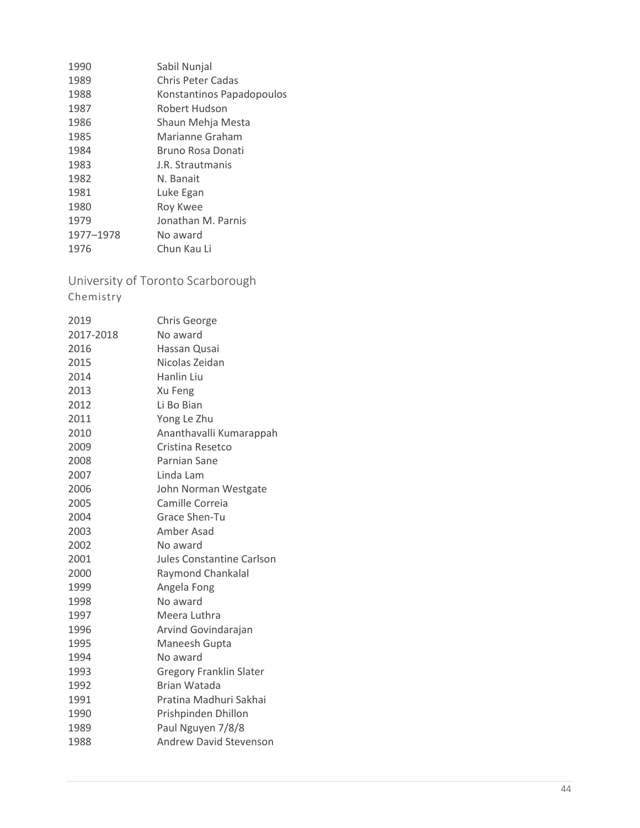| 1990      | Sabil Nunjal              |
|-----------|---------------------------|
| 1989      | Chris Peter Cadas         |
| 1988      | Konstantinos Papadopoulos |
| 1987      | Robert Hudson             |
| 1986      | Shaun Mehja Mesta         |
| 1985      | Marianne Graham           |
| 1984      | Bruno Rosa Donati         |
| 1983      | J.R. Strautmanis          |
| 1982      | N. Banait                 |
| 1981      | Luke Egan                 |
| 1980      | Roy Kwee                  |
| 1979      | Jonathan M. Parnis        |
| 1977-1978 | No award                  |
| 1976      | Chun Kau Li               |

<span id="page-43-0"></span>University of Toronto Scarborough

| 2019      | <b>Chris George</b>            |
|-----------|--------------------------------|
| 2017-2018 | No award                       |
| 2016      | Hassan Qusai                   |
| 2015      | Nicolas Zeidan                 |
| 2014      | Hanlin Liu                     |
| 2013      | Xu Feng                        |
| 2012      | Li Bo Bian                     |
| 2011      | Yong Le Zhu                    |
| 2010      | Ananthavalli Kumarappah        |
| 2009      | Cristina Resetco               |
| 2008      | Parnian Sane                   |
| 2007      | Linda Lam                      |
| 2006      | John Norman Westgate           |
| 2005      | Camille Correia                |
| 2004      | Grace Shen-Tu                  |
| 2003      | Amber Asad                     |
| 2002      | No award                       |
| 2001      | Jules Constantine Carlson      |
| 2000      | Raymond Chankalal              |
| 1999      | Angela Fong                    |
| 1998      | No award                       |
| 1997      | Meera Luthra                   |
| 1996      | Arvind Govindarajan            |
| 1995      | Maneesh Gupta                  |
| 1994      | No award                       |
| 1993      | <b>Gregory Franklin Slater</b> |
| 1992      | Brian Watada                   |
| 1991      | Pratina Madhuri Sakhai         |
| 1990      | Prishpinden Dhillon            |
| 1989      | Paul Nguyen 7/8/8              |
| 1988      | <b>Andrew David Stevenson</b>  |
|           |                                |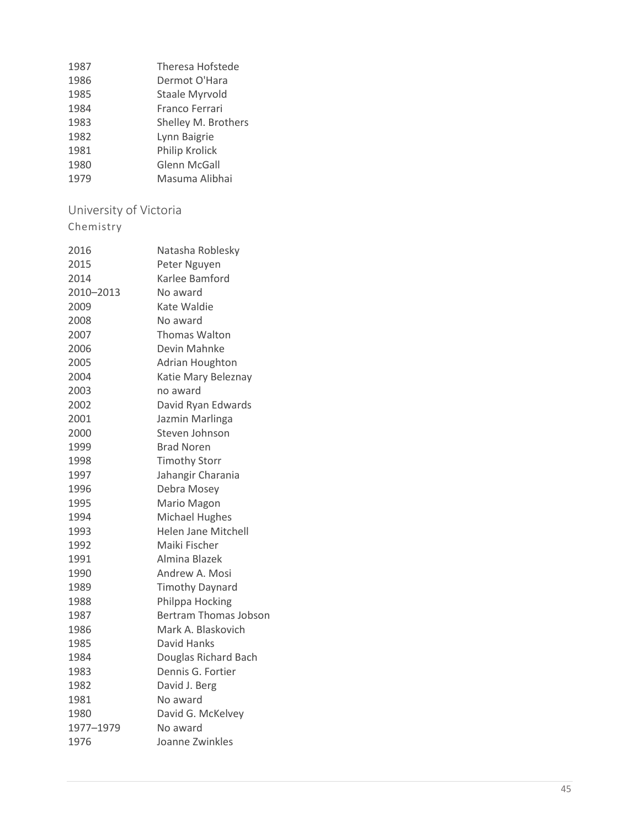| 1987 | <b>Theresa Hofstede</b> |
|------|-------------------------|
| 1986 | Dermot O'Hara           |
| 1985 | Staale Myrvold          |
| 1984 | Franco Ferrari          |
| 1983 | Shelley M. Brothers     |
| 1982 | Lynn Baigrie            |
| 1981 | Philip Krolick          |
| 1980 | Glenn McGall            |
| 1979 | Masuma Alibhai          |

# <span id="page-44-0"></span>University of Victoria

| 2016      | Natasha Roblesky             |
|-----------|------------------------------|
| 2015      | Peter Nguyen                 |
| 2014      | Karlee Bamford               |
| 2010-2013 | No award                     |
| 2009      | Kate Waldie                  |
| 2008      | No award                     |
| 2007      | <b>Thomas Walton</b>         |
| 2006      | Devin Mahnke                 |
| 2005      | Adrian Houghton              |
| 2004      | Katie Mary Beleznay          |
| 2003      | no award                     |
| 2002      | David Ryan Edwards           |
| 2001      | Jazmin Marlinga              |
| 2000      | Steven Johnson               |
| 1999      | <b>Brad Noren</b>            |
| 1998      | <b>Timothy Storr</b>         |
| 1997      | Jahangir Charania            |
| 1996      | Debra Mosey                  |
| 1995      | Mario Magon                  |
| 1994      | Michael Hughes               |
| 1993      | <b>Helen Jane Mitchell</b>   |
| 1992      | Maiki Fischer                |
| 1991      | Almina Blazek                |
| 1990      | Andrew A. Mosi               |
| 1989      | <b>Timothy Daynard</b>       |
| 1988      | Philppa Hocking              |
| 1987      | <b>Bertram Thomas Jobson</b> |
| 1986      | Mark A. Blaskovich           |
| 1985      | David Hanks                  |
| 1984      | Douglas Richard Bach         |
| 1983      | Dennis G. Fortier            |
| 1982      | David J. Berg                |
| 1981      | No award                     |
| 1980      | David G. McKelvey            |
| 1977-1979 | No award                     |
| 1976      | Joanne Zwinkles              |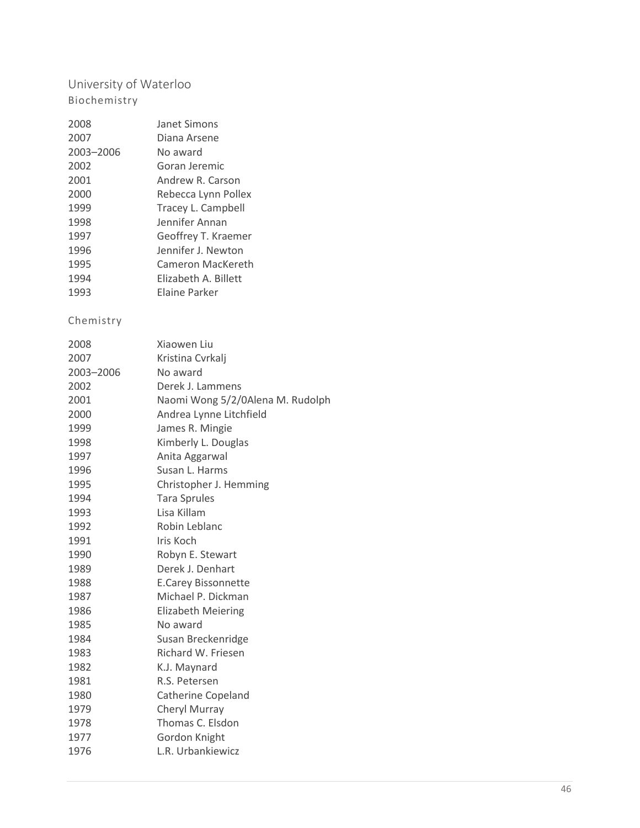# <span id="page-45-0"></span>University of Waterloo Biochemistry

| Janet Simons         |
|----------------------|
| Diana Arsene         |
| No award             |
| Goran Jeremic        |
| Andrew R. Carson     |
| Rebecca Lynn Pollex  |
| Tracey L. Campbell   |
| Jennifer Annan       |
| Geoffrey T. Kraemer  |
| Jennifer J. Newton   |
| Cameron MacKereth    |
| Elizabeth A. Billett |
| Elaine Parker        |
|                      |

| 2008      | Xiaowen Liu                      |
|-----------|----------------------------------|
| 2007      | Kristina Cvrkalj                 |
| 2003-2006 | No award                         |
| 2002      | Derek J. Lammens                 |
| 2001      | Naomi Wong 5/2/0Alena M. Rudolph |
| 2000      | Andrea Lynne Litchfield          |
| 1999      | James R. Mingie                  |
| 1998      | Kimberly L. Douglas              |
| 1997      | Anita Aggarwal                   |
| 1996      | Susan L. Harms                   |
| 1995      | Christopher J. Hemming           |
| 1994      | <b>Tara Sprules</b>              |
| 1993      | Lisa Killam                      |
| 1992      | Robin Leblanc                    |
| 1991      | Iris Koch                        |
| 1990      | Robyn E. Stewart                 |
| 1989      | Derek J. Denhart                 |
| 1988      | <b>E.Carey Bissonnette</b>       |
| 1987      | Michael P. Dickman               |
| 1986      | <b>Elizabeth Meiering</b>        |
| 1985      | No award                         |
| 1984      | Susan Breckenridge               |
| 1983      | Richard W. Friesen               |
| 1982      | K.J. Maynard                     |
| 1981      | R.S. Petersen                    |
| 1980      | Catherine Copeland               |
| 1979      | Cheryl Murray                    |
| 1978      | Thomas C. Elsdon                 |
| 1977      | Gordon Knight                    |
| 1976      | L.R. Urbankiewicz                |
|           |                                  |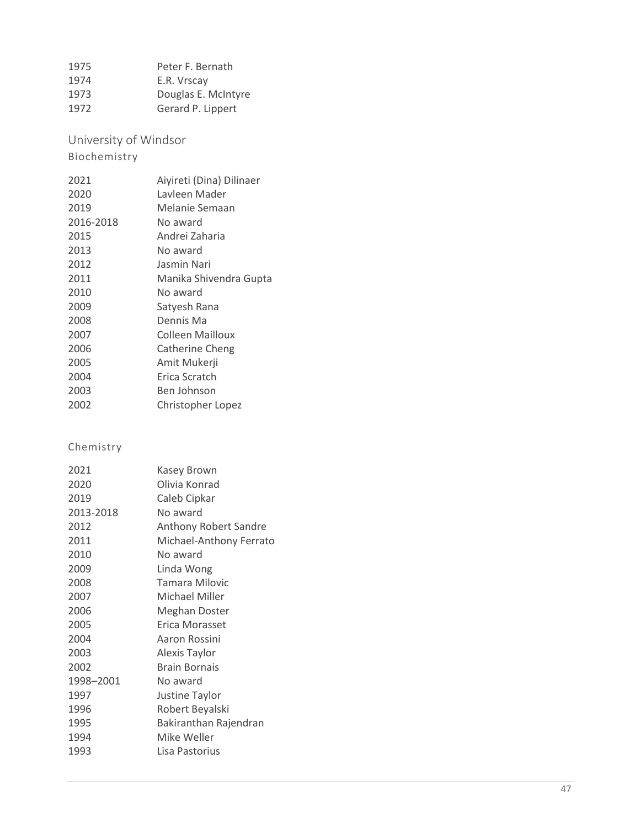| 1975 | Peter F. Bernath    |
|------|---------------------|
| 1974 | E.R. Vrscay         |
| 1973 | Douglas E. McIntyre |
| 1972 | Gerard P. Lippert   |

<span id="page-46-0"></span>University of Windsor

#### Biochemistry

| 2021      | Aiyireti (Dina) Dilinaer |
|-----------|--------------------------|
| 2020      | Lavleen Mader            |
| 2019      | Melanie Semaan           |
| 2016-2018 | No award                 |
| 2015      | Andrei Zaharia           |
| 2013      | No award                 |
| 2012      | Jasmin Nari              |
| 2011      | Manika Shivendra Gupta   |
| 2010      | No award                 |
| 2009      | Satyesh Rana             |
| 2008      | Dennis Ma                |
| 2007      | Colleen Mailloux         |
| 2006      | Catherine Cheng          |
| 2005      | Amit Mukerji             |
| 2004      | Erica Scratch            |
| 2003      | Ben Johnson              |
| 2002      | Christopher Lopez        |

| 2021      | Kasey Brown             |
|-----------|-------------------------|
| 2020      | Olivia Konrad           |
| 2019      | Caleb Cipkar            |
| 2013-2018 | No award                |
| 2012      | Anthony Robert Sandre   |
| 2011      | Michael-Anthony Ferrato |
| 2010      | No award                |
| 2009      | Linda Wong              |
| 2008      | <b>Tamara Milovic</b>   |
| 2007      | Michael Miller          |
| 2006      | <b>Meghan Doster</b>    |
| 2005      | Erica Morasset          |
| 2004      | Aaron Rossini           |
| 2003      | Alexis Taylor           |
| 2002      | <b>Brain Bornais</b>    |
| 1998-2001 | No award                |
| 1997      | Justine Taylor          |
| 1996      | Robert Beyalski         |
| 1995      | Bakiranthan Rajendran   |
| 1994      | Mike Weller             |
| 1993      | Lisa Pastorius          |
|           |                         |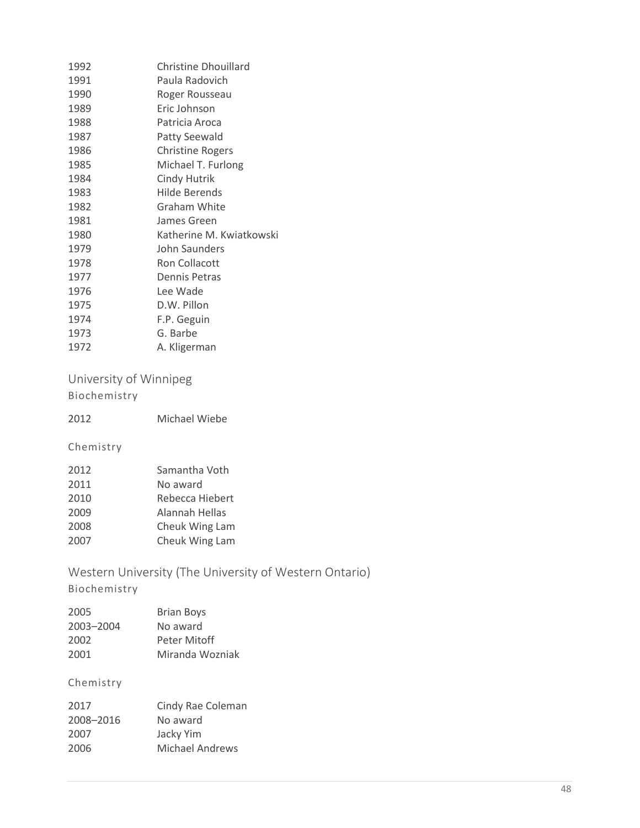| 1992 | <b>Christine Dhouillard</b> |
|------|-----------------------------|
| 1991 | Paula Radovich              |
| 1990 | Roger Rousseau              |
| 1989 | Eric Johnson                |
| 1988 | Patricia Aroca              |
| 1987 | <b>Patty Seewald</b>        |
| 1986 | <b>Christine Rogers</b>     |
| 1985 | Michael T. Furlong          |
| 1984 | <b>Cindy Hutrik</b>         |
| 1983 | Hilde Berends               |
| 1982 | <b>Graham White</b>         |
| 1981 | James Green                 |
| 1980 | Katherine M. Kwiatkowski    |
| 1979 | John Saunders               |
| 1978 | Ron Collacott               |
| 1977 | Dennis Petras               |
| 1976 | Lee Wade                    |
| 1975 | D.W. Pillon                 |
| 1974 | F.P. Geguin                 |
| 1973 | G. Barbe                    |
| 1972 | A. Kligerman                |

#### <span id="page-47-0"></span>University of Winnipeg Biochemistry

| 2012 | <b>Michael Wiebe</b> |  |
|------|----------------------|--|
|      |                      |  |

#### Chemistry

| 2012 | Samantha Voth   |
|------|-----------------|
| 2011 | No award        |
| 2010 | Rebecca Hiebert |
| 2009 | Alannah Hellas  |
| 2008 | Cheuk Wing Lam  |
| 2007 | Cheuk Wing Lam  |

# <span id="page-47-1"></span>Western University (The University of Western Ontario)

# Biochemistry

| 2005      | <b>Brian Boys</b> |
|-----------|-------------------|
| 2003-2004 | No award          |
| 2002      | Peter Mitoff      |
| 2001      | Miranda Wozniak   |

| 2017      | Cindy Rae Coleman |
|-----------|-------------------|
| 2008-2016 | No award          |
| 2007      | Jacky Yim         |
| 2006      | Michael Andrews   |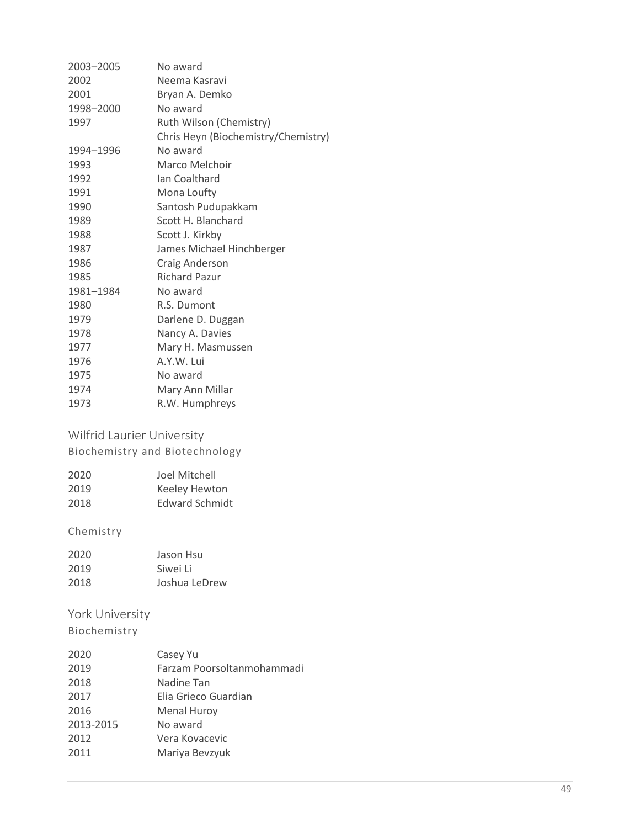| 2003-2005 | No award                            |
|-----------|-------------------------------------|
| 2002      | Neema Kasravi                       |
| 2001      | Bryan A. Demko                      |
| 1998-2000 | No award                            |
| 1997      | Ruth Wilson (Chemistry)             |
|           | Chris Heyn (Biochemistry/Chemistry) |
| 1994–1996 | No award                            |
| 1993      | Marco Melchoir                      |
| 1992      | Ian Coalthard                       |
| 1991      | Mona Loufty                         |
| 1990      | Santosh Pudupakkam                  |
| 1989      | Scott H. Blanchard                  |
| 1988      | Scott J. Kirkby                     |
| 1987      | James Michael Hinchberger           |
| 1986      | Craig Anderson                      |
| 1985      | <b>Richard Pazur</b>                |
| 1981-1984 | No award                            |
| 1980      | R.S. Dumont                         |
| 1979      | Darlene D. Duggan                   |
| 1978      | Nancy A. Davies                     |
| 1977      | Mary H. Masmussen                   |
| 1976      | A.Y.W. Lui                          |
| 1975      | No award                            |
| 1974      | Mary Ann Millar                     |
| 1973      | R.W. Humphreys                      |

# <span id="page-48-0"></span>Wilfrid Laurier University

Biochemistry and Biotechnology

| 2020 | Joel Mitchell         |
|------|-----------------------|
| 2019 | Keeley Hewton         |
| 2018 | <b>Edward Schmidt</b> |

#### Chemistry

| 2020 | Jason Hsu     |
|------|---------------|
| 2019 | Siwei Li      |
| 2018 | Joshua LeDrew |

#### <span id="page-48-1"></span>York University

| 2020      | Casey Yu                   |
|-----------|----------------------------|
| 2019      | Farzam Poorsoltanmohammadi |
| 2018      | Nadine Tan                 |
| 2017      | Elia Grieco Guardian       |
| 2016      | <b>Menal Huroy</b>         |
| 2013-2015 | No award                   |
| 2012      | Vera Kovacevic             |
| 2011      | Mariya Bevzyuk             |